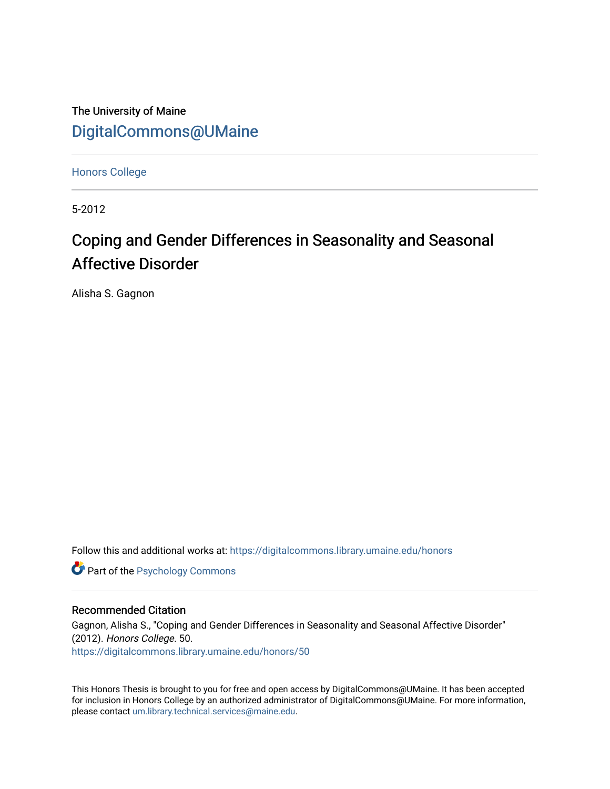The University of Maine [DigitalCommons@UMaine](https://digitalcommons.library.umaine.edu/)

[Honors College](https://digitalcommons.library.umaine.edu/honors)

5-2012

# Coping and Gender Differences in Seasonality and Seasonal Affective Disorder

Alisha S. Gagnon

Follow this and additional works at: [https://digitalcommons.library.umaine.edu/honors](https://digitalcommons.library.umaine.edu/honors?utm_source=digitalcommons.library.umaine.edu%2Fhonors%2F50&utm_medium=PDF&utm_campaign=PDFCoverPages) 

**Part of the Psychology Commons** 

#### Recommended Citation

Gagnon, Alisha S., "Coping and Gender Differences in Seasonality and Seasonal Affective Disorder" (2012). Honors College. 50. [https://digitalcommons.library.umaine.edu/honors/50](https://digitalcommons.library.umaine.edu/honors/50?utm_source=digitalcommons.library.umaine.edu%2Fhonors%2F50&utm_medium=PDF&utm_campaign=PDFCoverPages) 

This Honors Thesis is brought to you for free and open access by DigitalCommons@UMaine. It has been accepted for inclusion in Honors College by an authorized administrator of DigitalCommons@UMaine. For more information, please contact [um.library.technical.services@maine.edu.](mailto:um.library.technical.services@maine.edu)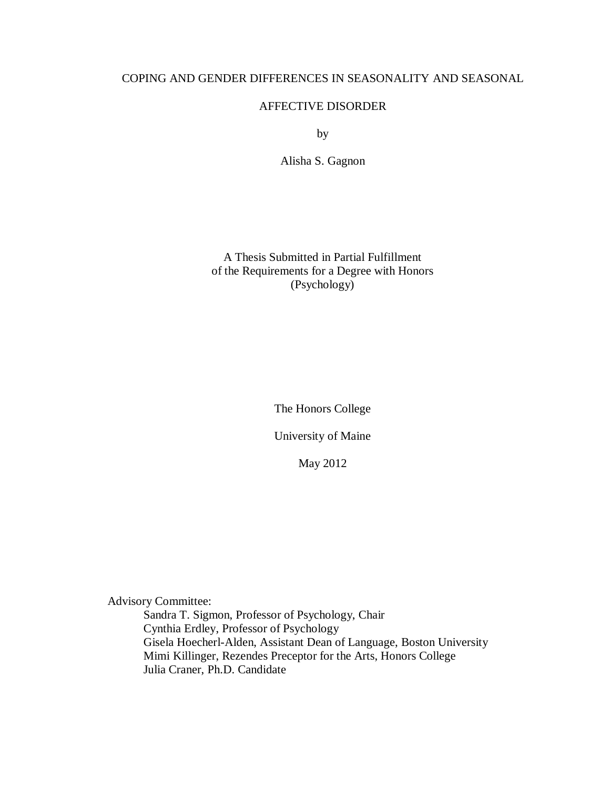# COPING AND GENDER DIFFERENCES IN SEASONALITY AND SEASONAL

## AFFECTIVE DISORDER

by

Alisha S. Gagnon

A Thesis Submitted in Partial Fulfillment of the Requirements for a Degree with Honors (Psychology)

The Honors College

University of Maine

May 2012

Advisory Committee:

Sandra T. Sigmon, Professor of Psychology, Chair Cynthia Erdley, Professor of Psychology Gisela Hoecherl-Alden, Assistant Dean of Language, Boston University Mimi Killinger, Rezendes Preceptor for the Arts, Honors College Julia Craner, Ph.D. Candidate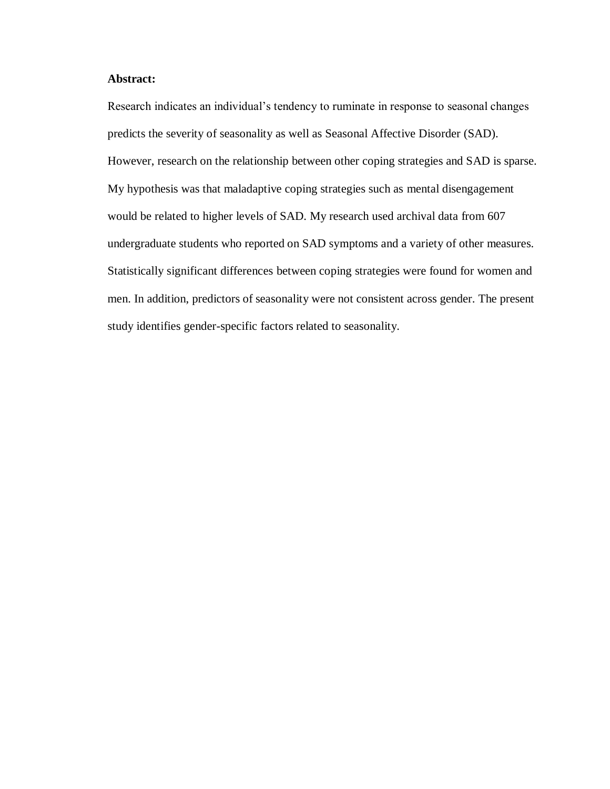# **Abstract:**

Research indicates an individual's tendency to ruminate in response to seasonal changes predicts the severity of seasonality as well as Seasonal Affective Disorder (SAD). However, research on the relationship between other coping strategies and SAD is sparse. My hypothesis was that maladaptive coping strategies such as mental disengagement would be related to higher levels of SAD. My research used archival data from 607 undergraduate students who reported on SAD symptoms and a variety of other measures. Statistically significant differences between coping strategies were found for women and men. In addition, predictors of seasonality were not consistent across gender. The present study identifies gender-specific factors related to seasonality.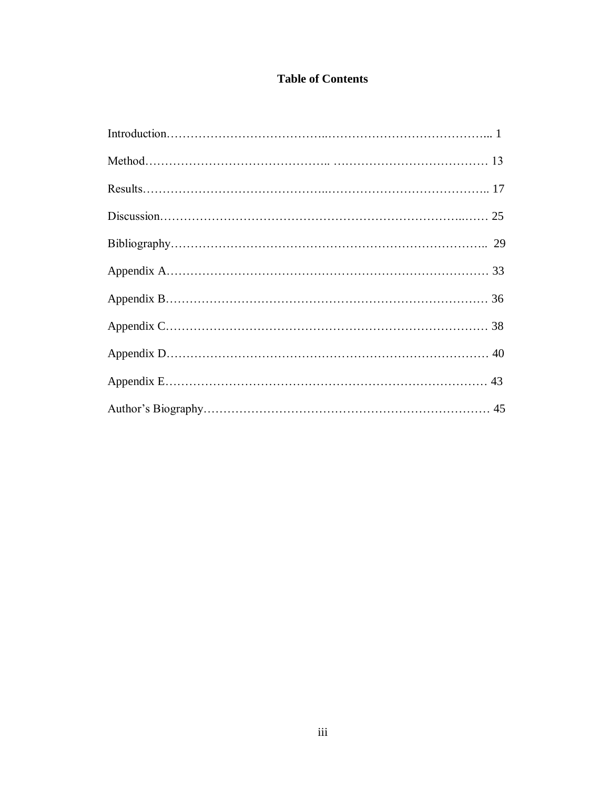# **Table of Contents**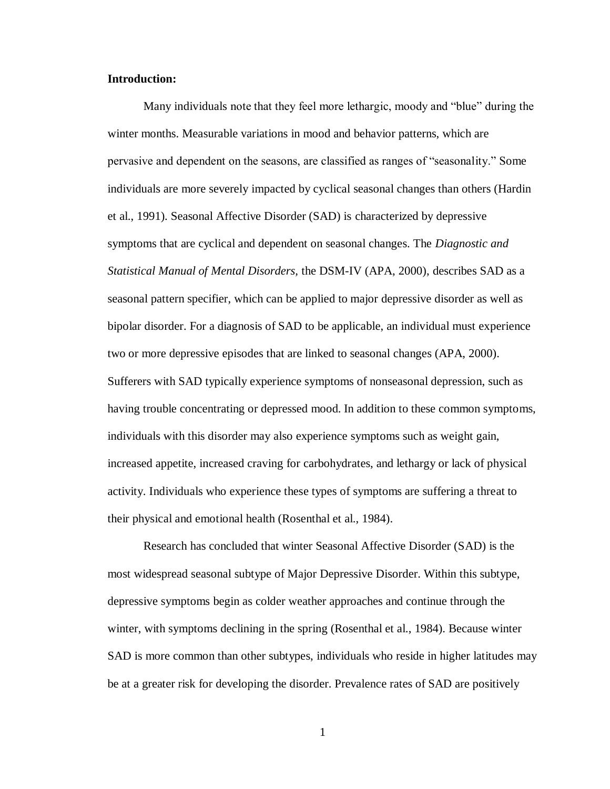#### **Introduction:**

Many individuals note that they feel more lethargic, moody and "blue" during the winter months. Measurable variations in mood and behavior patterns, which are pervasive and dependent on the seasons, are classified as ranges of "seasonality." Some individuals are more severely impacted by cyclical seasonal changes than others (Hardin et al., 1991). Seasonal Affective Disorder (SAD) is characterized by depressive symptoms that are cyclical and dependent on seasonal changes. The *Diagnostic and Statistical Manual of Mental Disorders,* the DSM-IV (APA, 2000), describes SAD as a seasonal pattern specifier, which can be applied to major depressive disorder as well as bipolar disorder. For a diagnosis of SAD to be applicable, an individual must experience two or more depressive episodes that are linked to seasonal changes (APA, 2000). Sufferers with SAD typically experience symptoms of nonseasonal depression, such as having trouble concentrating or depressed mood. In addition to these common symptoms, individuals with this disorder may also experience symptoms such as weight gain, increased appetite, increased craving for carbohydrates, and lethargy or lack of physical activity. Individuals who experience these types of symptoms are suffering a threat to their physical and emotional health (Rosenthal et al., 1984).

Research has concluded that winter Seasonal Affective Disorder (SAD) is the most widespread seasonal subtype of Major Depressive Disorder. Within this subtype, depressive symptoms begin as colder weather approaches and continue through the winter, with symptoms declining in the spring (Rosenthal et al., 1984). Because winter SAD is more common than other subtypes, individuals who reside in higher latitudes may be at a greater risk for developing the disorder. Prevalence rates of SAD are positively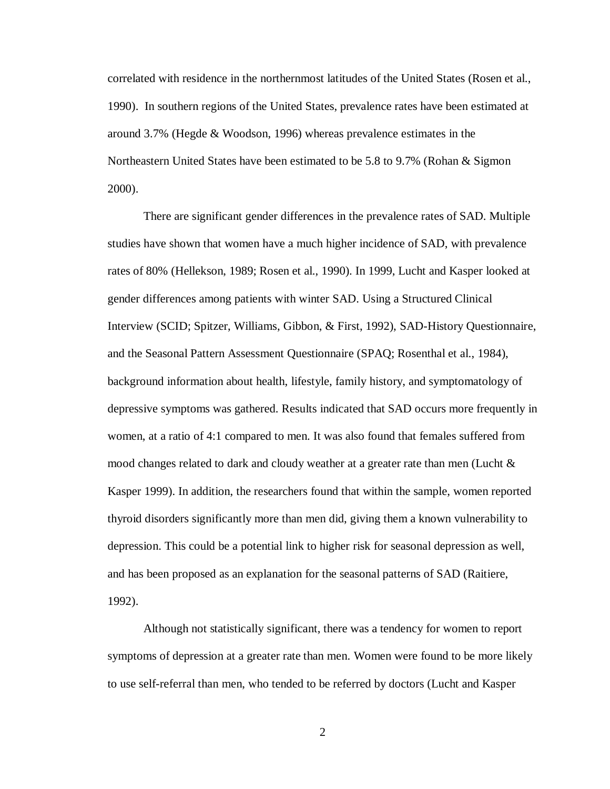correlated with residence in the northernmost latitudes of the United States (Rosen et al., 1990). In southern regions of the United States, prevalence rates have been estimated at around 3.7% (Hegde & Woodson, 1996) whereas prevalence estimates in the Northeastern United States have been estimated to be 5.8 to 9.7% (Rohan & Sigmon 2000).

There are significant gender differences in the prevalence rates of SAD. Multiple studies have shown that women have a much higher incidence of SAD, with prevalence rates of 80% (Hellekson, 1989; Rosen et al., 1990). In 1999, Lucht and Kasper looked at gender differences among patients with winter SAD. Using a Structured Clinical Interview (SCID; Spitzer, Williams, Gibbon, & First, 1992), SAD-History Questionnaire, and the Seasonal Pattern Assessment Questionnaire (SPAQ; Rosenthal et al., 1984), background information about health, lifestyle, family history, and symptomatology of depressive symptoms was gathered. Results indicated that SAD occurs more frequently in women, at a ratio of 4:1 compared to men. It was also found that females suffered from mood changes related to dark and cloudy weather at a greater rate than men (Lucht  $\&$ Kasper 1999). In addition, the researchers found that within the sample, women reported thyroid disorders significantly more than men did, giving them a known vulnerability to depression. This could be a potential link to higher risk for seasonal depression as well, and has been proposed as an explanation for the seasonal patterns of SAD (Raitiere, 1992).

Although not statistically significant, there was a tendency for women to report symptoms of depression at a greater rate than men. Women were found to be more likely to use self-referral than men, who tended to be referred by doctors (Lucht and Kasper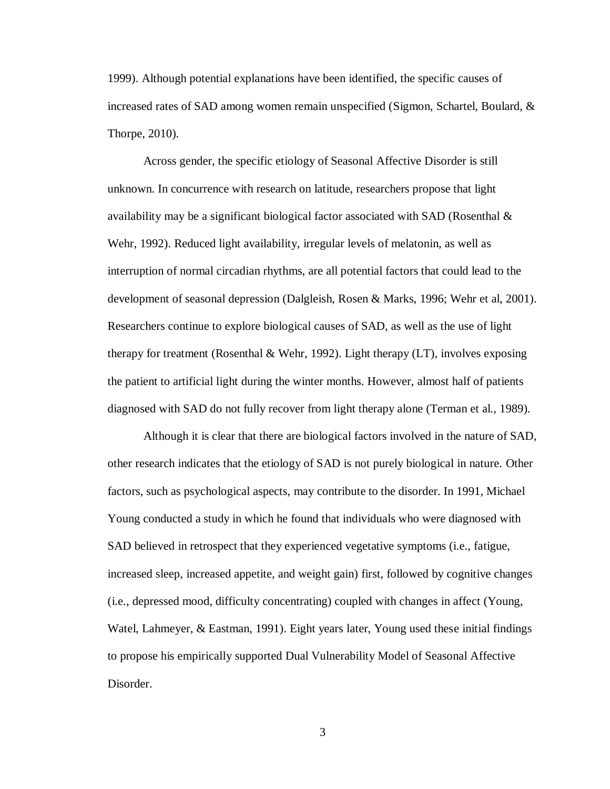1999). Although potential explanations have been identified, the specific causes of increased rates of SAD among women remain unspecified (Sigmon, Schartel, Boulard, & Thorpe, 2010).

Across gender, the specific etiology of Seasonal Affective Disorder is still unknown. In concurrence with research on latitude, researchers propose that light availability may be a significant biological factor associated with SAD (Rosenthal  $\&$ Wehr, 1992). Reduced light availability, irregular levels of melatonin, as well as interruption of normal circadian rhythms, are all potential factors that could lead to the development of seasonal depression (Dalgleish, Rosen & Marks, 1996; Wehr et al, 2001). Researchers continue to explore biological causes of SAD, as well as the use of light therapy for treatment (Rosenthal & Wehr, 1992). Light therapy  $(LT)$ , involves exposing the patient to artificial light during the winter months. However, almost half of patients diagnosed with SAD do not fully recover from light therapy alone (Terman et al., 1989).

Although it is clear that there are biological factors involved in the nature of SAD, other research indicates that the etiology of SAD is not purely biological in nature. Other factors, such as psychological aspects, may contribute to the disorder. In 1991, Michael Young conducted a study in which he found that individuals who were diagnosed with SAD believed in retrospect that they experienced vegetative symptoms (i.e., fatigue, increased sleep, increased appetite, and weight gain) first, followed by cognitive changes (i.e., depressed mood, difficulty concentrating) coupled with changes in affect (Young, Watel, Lahmeyer, & Eastman, 1991). Eight years later, Young used these initial findings to propose his empirically supported Dual Vulnerability Model of Seasonal Affective Disorder.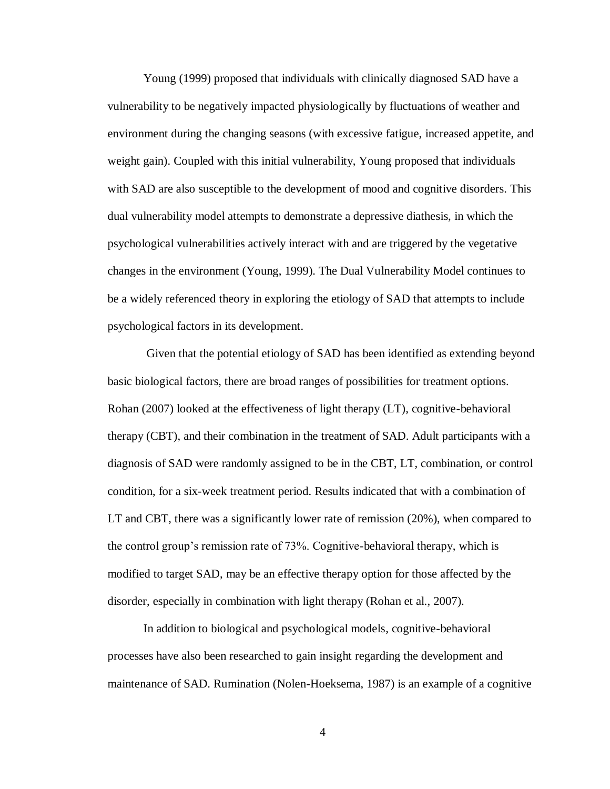Young (1999) proposed that individuals with clinically diagnosed SAD have a vulnerability to be negatively impacted physiologically by fluctuations of weather and environment during the changing seasons (with excessive fatigue, increased appetite, and weight gain). Coupled with this initial vulnerability, Young proposed that individuals with SAD are also susceptible to the development of mood and cognitive disorders. This dual vulnerability model attempts to demonstrate a depressive diathesis, in which the psychological vulnerabilities actively interact with and are triggered by the vegetative changes in the environment (Young, 1999). The Dual Vulnerability Model continues to be a widely referenced theory in exploring the etiology of SAD that attempts to include psychological factors in its development.

Given that the potential etiology of SAD has been identified as extending beyond basic biological factors, there are broad ranges of possibilities for treatment options. Rohan (2007) looked at the effectiveness of light therapy (LT), cognitive-behavioral therapy (CBT), and their combination in the treatment of SAD. Adult participants with a diagnosis of SAD were randomly assigned to be in the CBT, LT, combination, or control condition, for a six-week treatment period. Results indicated that with a combination of LT and CBT, there was a significantly lower rate of remission (20%), when compared to the control group's remission rate of 73%. Cognitive-behavioral therapy, which is modified to target SAD, may be an effective therapy option for those affected by the disorder, especially in combination with light therapy (Rohan et al., 2007).

In addition to biological and psychological models, cognitive-behavioral processes have also been researched to gain insight regarding the development and maintenance of SAD. Rumination (Nolen-Hoeksema, 1987) is an example of a cognitive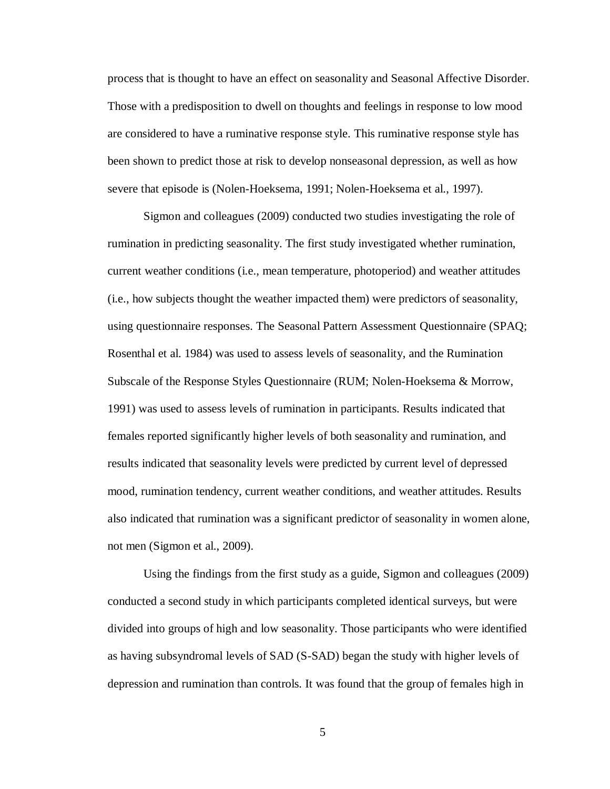process that is thought to have an effect on seasonality and Seasonal Affective Disorder. Those with a predisposition to dwell on thoughts and feelings in response to low mood are considered to have a ruminative response style. This ruminative response style has been shown to predict those at risk to develop nonseasonal depression, as well as how severe that episode is (Nolen-Hoeksema, 1991; Nolen-Hoeksema et al., 1997).

Sigmon and colleagues (2009) conducted two studies investigating the role of rumination in predicting seasonality. The first study investigated whether rumination, current weather conditions (i.e., mean temperature, photoperiod) and weather attitudes (i.e., how subjects thought the weather impacted them) were predictors of seasonality, using questionnaire responses. The Seasonal Pattern Assessment Questionnaire (SPAQ; Rosenthal et al. 1984) was used to assess levels of seasonality, and the Rumination Subscale of the Response Styles Questionnaire (RUM; Nolen-Hoeksema & Morrow, 1991) was used to assess levels of rumination in participants. Results indicated that females reported significantly higher levels of both seasonality and rumination, and results indicated that seasonality levels were predicted by current level of depressed mood, rumination tendency, current weather conditions, and weather attitudes. Results also indicated that rumination was a significant predictor of seasonality in women alone, not men (Sigmon et al., 2009).

Using the findings from the first study as a guide, Sigmon and colleagues (2009) conducted a second study in which participants completed identical surveys, but were divided into groups of high and low seasonality. Those participants who were identified as having subsyndromal levels of SAD (S-SAD) began the study with higher levels of depression and rumination than controls. It was found that the group of females high in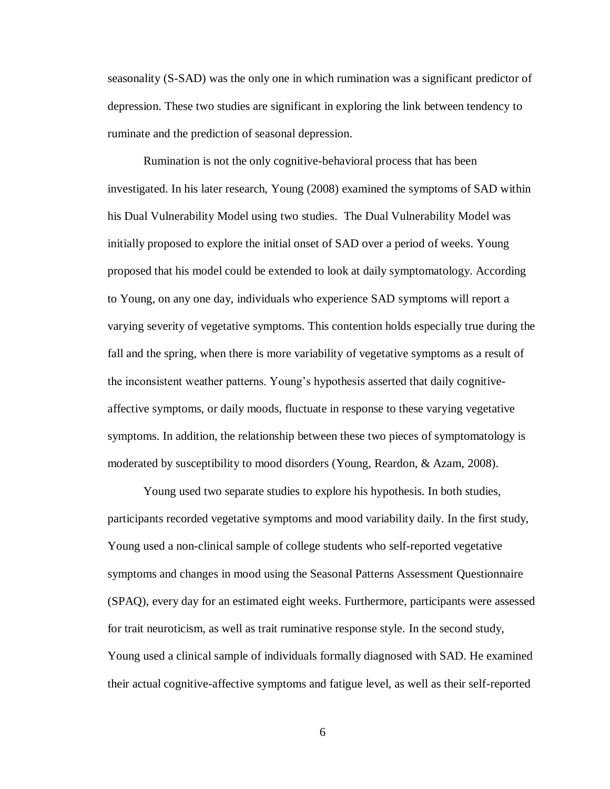seasonality (S-SAD) was the only one in which rumination was a significant predictor of depression. These two studies are significant in exploring the link between tendency to ruminate and the prediction of seasonal depression.

Rumination is not the only cognitive-behavioral process that has been investigated. In his later research, Young (2008) examined the symptoms of SAD within his Dual Vulnerability Model using two studies. The Dual Vulnerability Model was initially proposed to explore the initial onset of SAD over a period of weeks. Young proposed that his model could be extended to look at daily symptomatology. According to Young, on any one day, individuals who experience SAD symptoms will report a varying severity of vegetative symptoms. This contention holds especially true during the fall and the spring, when there is more variability of vegetative symptoms as a result of the inconsistent weather patterns. Young's hypothesis asserted that daily cognitiveaffective symptoms, or daily moods, fluctuate in response to these varying vegetative symptoms. In addition, the relationship between these two pieces of symptomatology is moderated by susceptibility to mood disorders (Young, Reardon, & Azam, 2008).

Young used two separate studies to explore his hypothesis. In both studies, participants recorded vegetative symptoms and mood variability daily. In the first study, Young used a non-clinical sample of college students who self-reported vegetative symptoms and changes in mood using the Seasonal Patterns Assessment Questionnaire (SPAQ), every day for an estimated eight weeks. Furthermore, participants were assessed for trait neuroticism, as well as trait ruminative response style. In the second study, Young used a clinical sample of individuals formally diagnosed with SAD. He examined their actual cognitive-affective symptoms and fatigue level, as well as their self-reported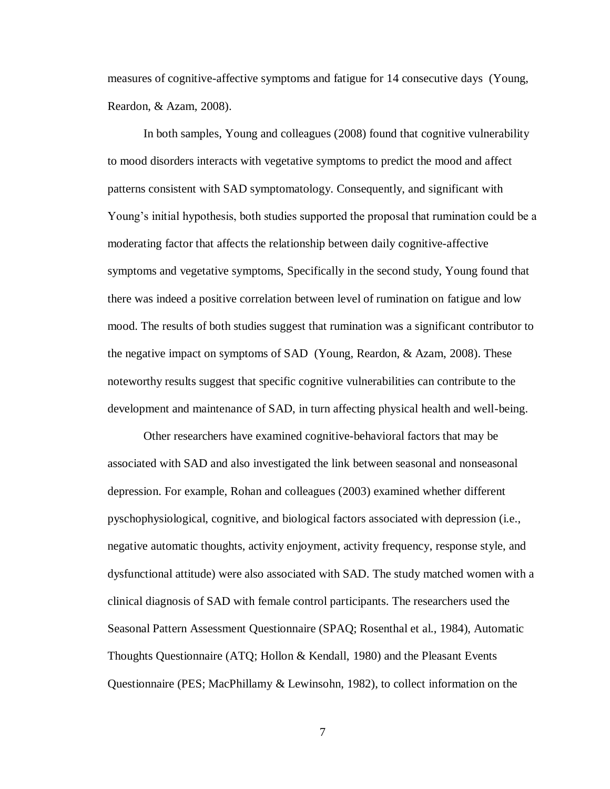measures of cognitive-affective symptoms and fatigue for 14 consecutive days (Young, Reardon, & Azam, 2008).

In both samples, Young and colleagues (2008) found that cognitive vulnerability to mood disorders interacts with vegetative symptoms to predict the mood and affect patterns consistent with SAD symptomatology. Consequently, and significant with Young's initial hypothesis, both studies supported the proposal that rumination could be a moderating factor that affects the relationship between daily cognitive-affective symptoms and vegetative symptoms, Specifically in the second study, Young found that there was indeed a positive correlation between level of rumination on fatigue and low mood. The results of both studies suggest that rumination was a significant contributor to the negative impact on symptoms of SAD (Young, Reardon, & Azam, 2008). These noteworthy results suggest that specific cognitive vulnerabilities can contribute to the development and maintenance of SAD, in turn affecting physical health and well-being.

Other researchers have examined cognitive-behavioral factors that may be associated with SAD and also investigated the link between seasonal and nonseasonal depression. For example, Rohan and colleagues (2003) examined whether different pyschophysiological, cognitive, and biological factors associated with depression (i.e., negative automatic thoughts, activity enjoyment, activity frequency, response style, and dysfunctional attitude) were also associated with SAD. The study matched women with a clinical diagnosis of SAD with female control participants. The researchers used the Seasonal Pattern Assessment Questionnaire (SPAQ; Rosenthal et al., 1984), Automatic Thoughts Questionnaire (ATQ; Hollon & Kendall, 1980) and the Pleasant Events Questionnaire (PES; MacPhillamy & Lewinsohn, 1982), to collect information on the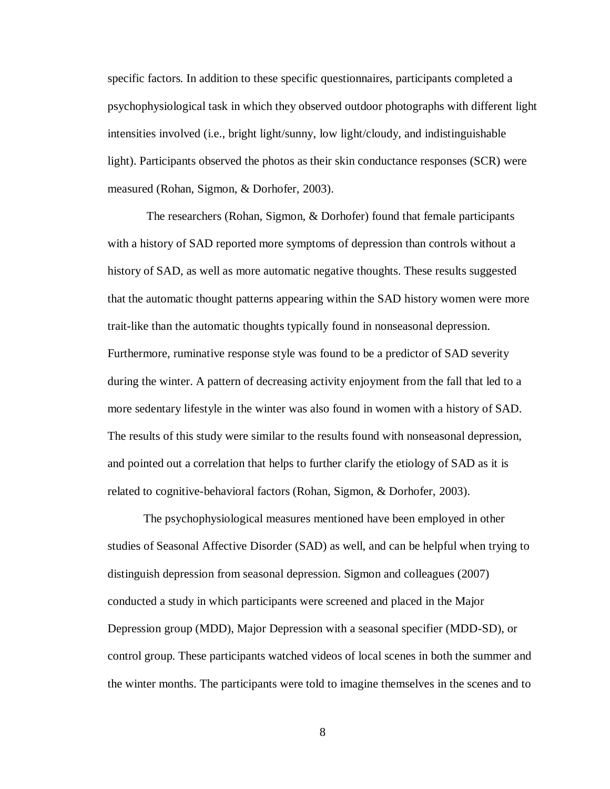specific factors. In addition to these specific questionnaires, participants completed a psychophysiological task in which they observed outdoor photographs with different light intensities involved (i.e., bright light/sunny, low light/cloudy, and indistinguishable light). Participants observed the photos as their skin conductance responses (SCR) were measured (Rohan, Sigmon, & Dorhofer, 2003).

The researchers (Rohan, Sigmon, & Dorhofer) found that female participants with a history of SAD reported more symptoms of depression than controls without a history of SAD, as well as more automatic negative thoughts. These results suggested that the automatic thought patterns appearing within the SAD history women were more trait-like than the automatic thoughts typically found in nonseasonal depression. Furthermore, ruminative response style was found to be a predictor of SAD severity during the winter. A pattern of decreasing activity enjoyment from the fall that led to a more sedentary lifestyle in the winter was also found in women with a history of SAD. The results of this study were similar to the results found with nonseasonal depression, and pointed out a correlation that helps to further clarify the etiology of SAD as it is related to cognitive-behavioral factors (Rohan, Sigmon, & Dorhofer, 2003).

The psychophysiological measures mentioned have been employed in other studies of Seasonal Affective Disorder (SAD) as well, and can be helpful when trying to distinguish depression from seasonal depression. Sigmon and colleagues (2007) conducted a study in which participants were screened and placed in the Major Depression group (MDD), Major Depression with a seasonal specifier (MDD-SD), or control group. These participants watched videos of local scenes in both the summer and the winter months. The participants were told to imagine themselves in the scenes and to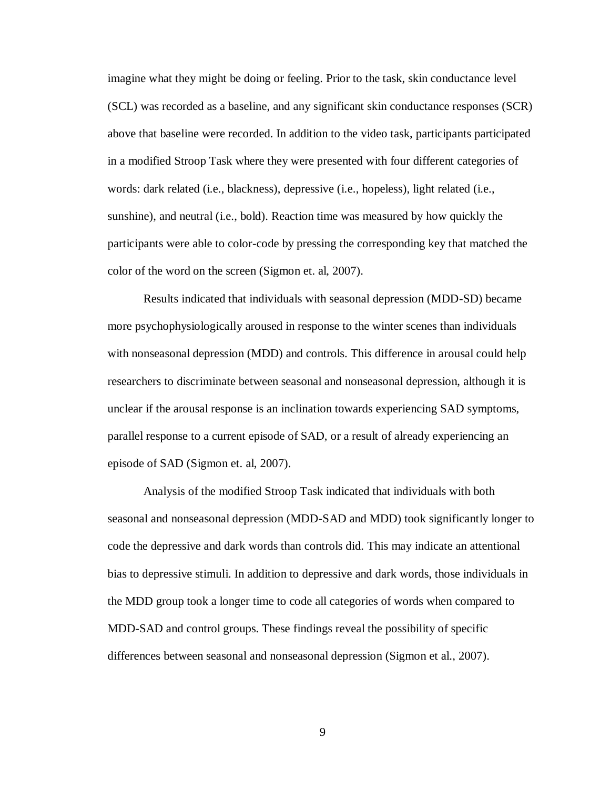imagine what they might be doing or feeling. Prior to the task, skin conductance level (SCL) was recorded as a baseline, and any significant skin conductance responses (SCR) above that baseline were recorded. In addition to the video task, participants participated in a modified Stroop Task where they were presented with four different categories of words: dark related (i.e., blackness), depressive (i.e., hopeless), light related (i.e., sunshine), and neutral (i.e., bold). Reaction time was measured by how quickly the participants were able to color-code by pressing the corresponding key that matched the color of the word on the screen (Sigmon et. al, 2007).

Results indicated that individuals with seasonal depression (MDD-SD) became more psychophysiologically aroused in response to the winter scenes than individuals with nonseasonal depression (MDD) and controls. This difference in arousal could help researchers to discriminate between seasonal and nonseasonal depression, although it is unclear if the arousal response is an inclination towards experiencing SAD symptoms, parallel response to a current episode of SAD, or a result of already experiencing an episode of SAD (Sigmon et. al, 2007).

Analysis of the modified Stroop Task indicated that individuals with both seasonal and nonseasonal depression (MDD-SAD and MDD) took significantly longer to code the depressive and dark words than controls did. This may indicate an attentional bias to depressive stimuli. In addition to depressive and dark words, those individuals in the MDD group took a longer time to code all categories of words when compared to MDD-SAD and control groups. These findings reveal the possibility of specific differences between seasonal and nonseasonal depression (Sigmon et al., 2007).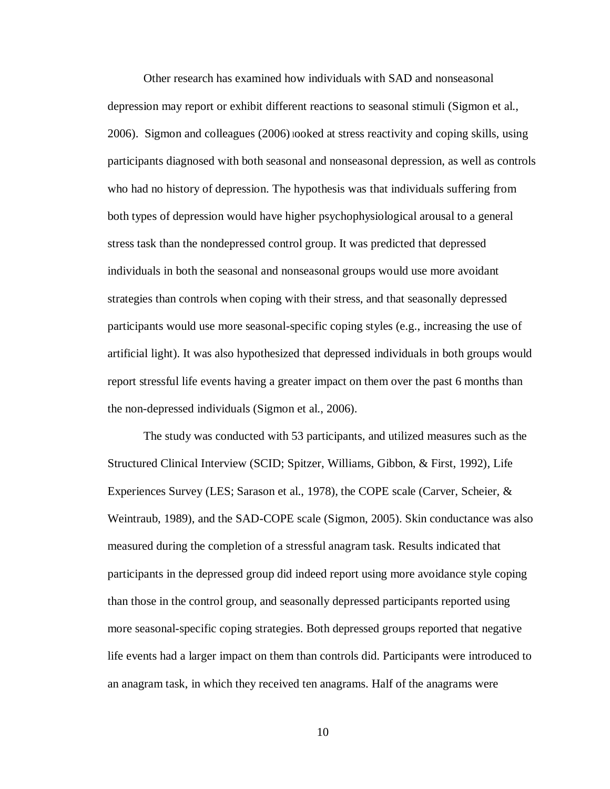Other research has examined how individuals with SAD and nonseasonal depression may report or exhibit different reactions to seasonal stimuli (Sigmon et al., 2006). Sigmon and colleagues (2006) <sup>l</sup>ooked at stress reactivity and coping skills, using participants diagnosed with both seasonal and nonseasonal depression, as well as controls who had no history of depression. The hypothesis was that individuals suffering from both types of depression would have higher psychophysiological arousal to a general stress task than the nondepressed control group. It was predicted that depressed individuals in both the seasonal and nonseasonal groups would use more avoidant strategies than controls when coping with their stress, and that seasonally depressed participants would use more seasonal-specific coping styles (e.g., increasing the use of artificial light). It was also hypothesized that depressed individuals in both groups would report stressful life events having a greater impact on them over the past 6 months than the non-depressed individuals (Sigmon et al., 2006).

The study was conducted with 53 participants, and utilized measures such as the Structured Clinical Interview (SCID; Spitzer, Williams, Gibbon, & First, 1992), Life Experiences Survey (LES; Sarason et al., 1978), the COPE scale (Carver, Scheier, & Weintraub, 1989), and the SAD-COPE scale (Sigmon, 2005). Skin conductance was also measured during the completion of a stressful anagram task. Results indicated that participants in the depressed group did indeed report using more avoidance style coping than those in the control group, and seasonally depressed participants reported using more seasonal-specific coping strategies. Both depressed groups reported that negative life events had a larger impact on them than controls did. Participants were introduced to an anagram task, in which they received ten anagrams. Half of the anagrams were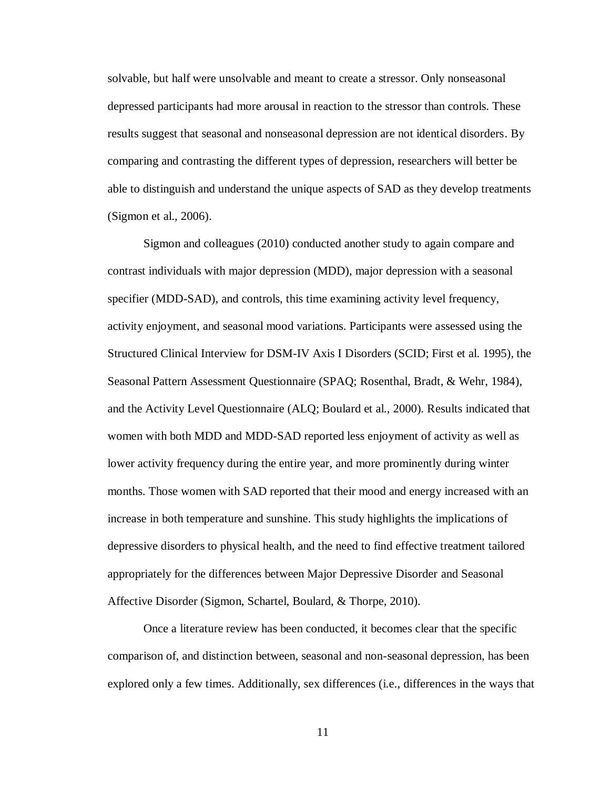solvable, but half were unsolvable and meant to create a stressor. Only nonseasonal depressed participants had more arousal in reaction to the stressor than controls. These results suggest that seasonal and nonseasonal depression are not identical disorders. By comparing and contrasting the different types of depression, researchers will better be able to distinguish and understand the unique aspects of SAD as they develop treatments (Sigmon et al., 2006).

Sigmon and colleagues (2010) conducted another study to again compare and contrast individuals with major depression (MDD), major depression with a seasonal specifier (MDD-SAD), and controls, this time examining activity level frequency, activity enjoyment, and seasonal mood variations. Participants were assessed using the Structured Clinical Interview for DSM-IV Axis I Disorders (SCID; First et al. 1995), the Seasonal Pattern Assessment Questionnaire (SPAQ; Rosenthal, Bradt, & Wehr, 1984), and the Activity Level Questionnaire (ALQ; Boulard et al., 2000). Results indicated that women with both MDD and MDD-SAD reported less enjoyment of activity as well as lower activity frequency during the entire year, and more prominently during winter months. Those women with SAD reported that their mood and energy increased with an increase in both temperature and sunshine. This study highlights the implications of depressive disorders to physical health, and the need to find effective treatment tailored appropriately for the differences between Major Depressive Disorder and Seasonal Affective Disorder (Sigmon, Schartel, Boulard, & Thorpe, 2010).

Once a literature review has been conducted, it becomes clear that the specific comparison of, and distinction between, seasonal and non-seasonal depression, has been explored only a few times. Additionally, sex differences (i.e., differences in the ways that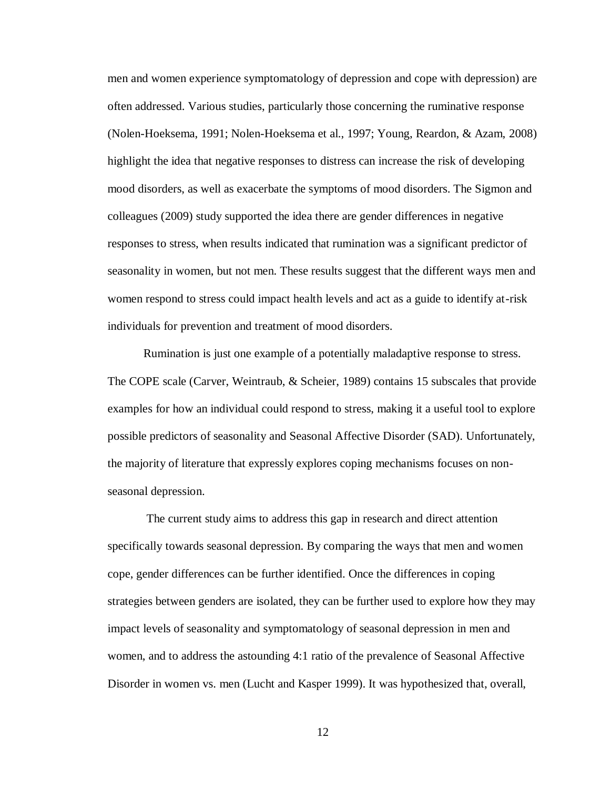men and women experience symptomatology of depression and cope with depression) are often addressed. Various studies, particularly those concerning the ruminative response (Nolen-Hoeksema, 1991; Nolen-Hoeksema et al., 1997; Young, Reardon, & Azam, 2008) highlight the idea that negative responses to distress can increase the risk of developing mood disorders, as well as exacerbate the symptoms of mood disorders. The Sigmon and colleagues (2009) study supported the idea there are gender differences in negative responses to stress, when results indicated that rumination was a significant predictor of seasonality in women, but not men. These results suggest that the different ways men and women respond to stress could impact health levels and act as a guide to identify at-risk individuals for prevention and treatment of mood disorders.

Rumination is just one example of a potentially maladaptive response to stress. The COPE scale (Carver, Weintraub, & Scheier, 1989) contains 15 subscales that provide examples for how an individual could respond to stress, making it a useful tool to explore possible predictors of seasonality and Seasonal Affective Disorder (SAD). Unfortunately, the majority of literature that expressly explores coping mechanisms focuses on nonseasonal depression.

The current study aims to address this gap in research and direct attention specifically towards seasonal depression. By comparing the ways that men and women cope, gender differences can be further identified. Once the differences in coping strategies between genders are isolated, they can be further used to explore how they may impact levels of seasonality and symptomatology of seasonal depression in men and women, and to address the astounding 4:1 ratio of the prevalence of Seasonal Affective Disorder in women vs. men (Lucht and Kasper 1999). It was hypothesized that, overall,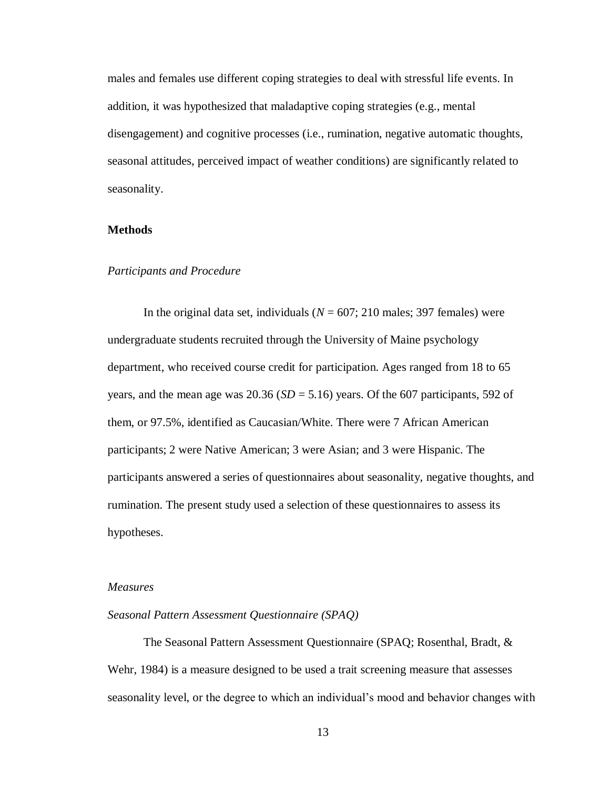males and females use different coping strategies to deal with stressful life events. In addition, it was hypothesized that maladaptive coping strategies (e.g., mental disengagement) and cognitive processes (i.e., rumination, negative automatic thoughts, seasonal attitudes, perceived impact of weather conditions) are significantly related to seasonality.

# **Methods**

#### *Participants and Procedure*

In the original data set, individuals ( $N = 607$ ; 210 males; 397 females) were undergraduate students recruited through the University of Maine psychology department, who received course credit for participation. Ages ranged from 18 to 65 years, and the mean age was 20.36 ( $SD = 5.16$ ) years. Of the 607 participants, 592 of them, or 97.5%, identified as Caucasian/White. There were 7 African American participants; 2 were Native American; 3 were Asian; and 3 were Hispanic. The participants answered a series of questionnaires about seasonality, negative thoughts, and rumination. The present study used a selection of these questionnaires to assess its hypotheses.

#### *Measures*

#### *Seasonal Pattern Assessment Questionnaire (SPAQ)*

The Seasonal Pattern Assessment Questionnaire (SPAQ; Rosenthal, Bradt, & Wehr, 1984) is a measure designed to be used a trait screening measure that assesses seasonality level, or the degree to which an individual's mood and behavior changes with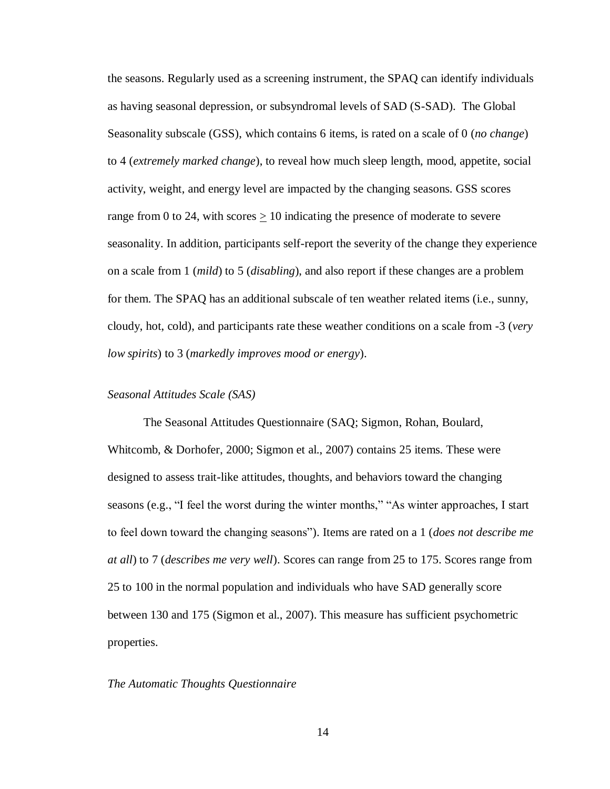the seasons. Regularly used as a screening instrument, the SPAQ can identify individuals as having seasonal depression, or subsyndromal levels of SAD (S-SAD). The Global Seasonality subscale (GSS), which contains 6 items, is rated on a scale of 0 (*no change*) to 4 (*extremely marked change*), to reveal how much sleep length, mood, appetite, social activity, weight, and energy level are impacted by the changing seasons. GSS scores range from 0 to 24, with scores  $> 10$  indicating the presence of moderate to severe seasonality. In addition, participants self-report the severity of the change they experience on a scale from 1 (*mild*) to 5 (*disabling*), and also report if these changes are a problem for them. The SPAQ has an additional subscale of ten weather related items (i.e., sunny, cloudy, hot, cold), and participants rate these weather conditions on a scale from -3 (*very low spirits*) to 3 (*markedly improves mood or energy*).

#### *Seasonal Attitudes Scale (SAS)*

The Seasonal Attitudes Questionnaire (SAQ; Sigmon, Rohan, Boulard, Whitcomb, & Dorhofer, 2000; Sigmon et al., 2007) contains 25 items. These were designed to assess trait-like attitudes, thoughts, and behaviors toward the changing seasons (e.g., "I feel the worst during the winter months," "As winter approaches, I start to feel down toward the changing seasons"). Items are rated on a 1 (*does not describe me at all*) to 7 (*describes me very well*). Scores can range from 25 to 175. Scores range from 25 to 100 in the normal population and individuals who have SAD generally score between 130 and 175 (Sigmon et al., 2007). This measure has sufficient psychometric properties.

#### *The Automatic Thoughts Questionnaire*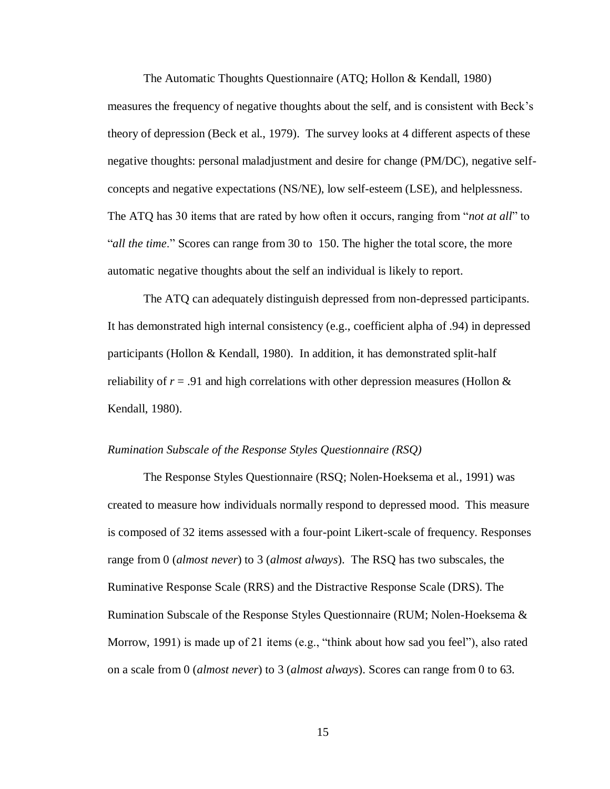The Automatic Thoughts Questionnaire (ATQ; Hollon & Kendall, 1980) measures the frequency of negative thoughts about the self, and is consistent with Beck's theory of depression (Beck et al., 1979). The survey looks at 4 different aspects of these negative thoughts: personal maladjustment and desire for change (PM/DC), negative selfconcepts and negative expectations (NS/NE), low self-esteem (LSE), and helplessness. The ATQ has 30 items that are rated by how often it occurs, ranging from "*not at all*" to "*all the time*." Scores can range from 30 to 150. The higher the total score, the more automatic negative thoughts about the self an individual is likely to report.

The ATQ can adequately distinguish depressed from non-depressed participants. It has demonstrated high internal consistency (e.g., coefficient alpha of .94) in depressed participants (Hollon & Kendall, 1980). In addition, it has demonstrated split-half reliability of  $r = .91$  and high correlations with other depression measures (Hollon  $&$ Kendall, 1980).

#### *Rumination Subscale of the Response Styles Questionnaire (RSQ)*

The Response Styles Questionnaire (RSQ; Nolen-Hoeksema et al., 1991) was created to measure how individuals normally respond to depressed mood. This measure is composed of 32 items assessed with a four-point Likert-scale of frequency. Responses range from 0 (*almost never*) to 3 (*almost always*). The RSQ has two subscales, the Ruminative Response Scale (RRS) and the Distractive Response Scale (DRS). The Rumination Subscale of the Response Styles Questionnaire (RUM; Nolen-Hoeksema & Morrow, 1991) is made up of 21 items (e.g., "think about how sad you feel"), also rated on a scale from 0 (*almost never*) to 3 (*almost always*). Scores can range from 0 to 63.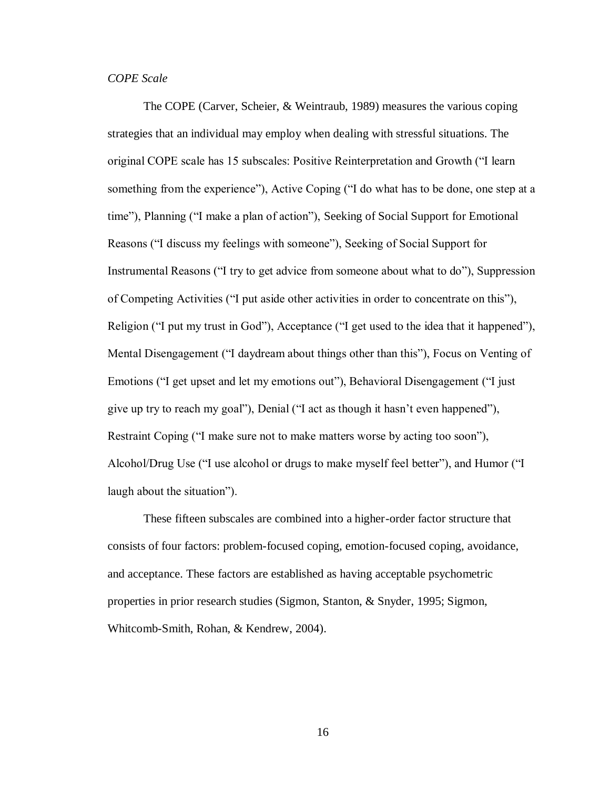## *COPE Scale*

The COPE (Carver, Scheier, & Weintraub, 1989) measures the various coping strategies that an individual may employ when dealing with stressful situations. The original COPE scale has 15 subscales: Positive Reinterpretation and Growth ("I learn something from the experience"), Active Coping ("I do what has to be done, one step at a time"), Planning ("I make a plan of action"), Seeking of Social Support for Emotional Reasons ("I discuss my feelings with someone"), Seeking of Social Support for Instrumental Reasons ("I try to get advice from someone about what to do"), Suppression of Competing Activities ("I put aside other activities in order to concentrate on this"), Religion ("I put my trust in God"), Acceptance ("I get used to the idea that it happened"), Mental Disengagement ("I daydream about things other than this"), Focus on Venting of Emotions ("I get upset and let my emotions out"), Behavioral Disengagement ("I just give up try to reach my goal"), Denial ("I act as though it hasn't even happened"), Restraint Coping ("I make sure not to make matters worse by acting too soon"), Alcohol/Drug Use ("I use alcohol or drugs to make myself feel better"), and Humor ("I laugh about the situation").

These fifteen subscales are combined into a higher-order factor structure that consists of four factors: problem-focused coping, emotion-focused coping, avoidance, and acceptance. These factors are established as having acceptable psychometric properties in prior research studies (Sigmon, Stanton, & Snyder, 1995; Sigmon, Whitcomb-Smith, Rohan, & Kendrew, 2004).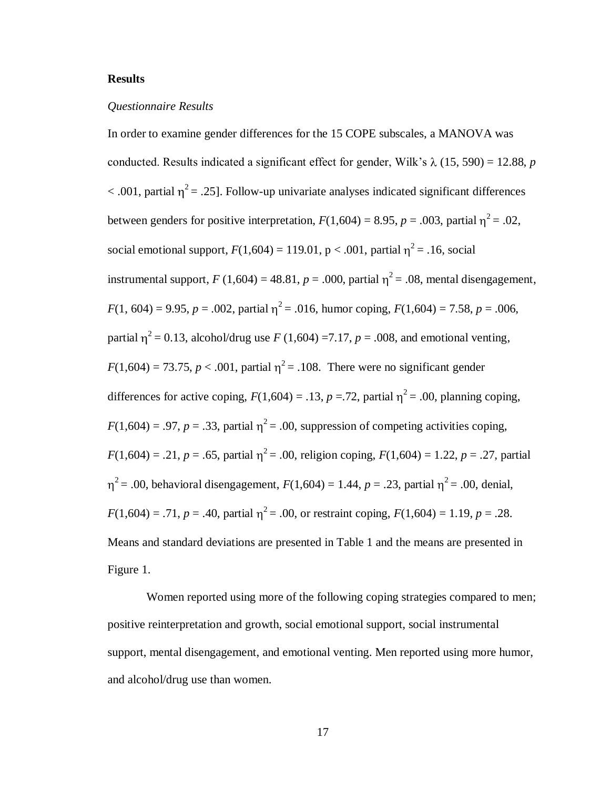#### **Results**

#### *Questionnaire Results*

In order to examine gender differences for the 15 COPE subscales, a MANOVA was conducted. Results indicated a significant effect for gender, Wilk's  $\lambda$  (15, 590) = 12.88, *p*  $<$  .001, partial  $\eta^2$  = .25]. Follow-up univariate analyses indicated significant differences between genders for positive interpretation,  $F(1,604) = 8.95$ ,  $p = .003$ , partial  $\eta^2 = .02$ , social emotional support,  $F(1,604) = 119.01$ ,  $p < .001$ , partial  $\eta^2 = .16$ , social instrumental support,  $F(1,604) = 48.81$ ,  $p = .000$ , partial  $\eta^2 = .08$ , mental disengagement,  $F(1, 604) = 9.95, p = .002$ , partial  $\eta^2 = .016$ , humor coping,  $F(1, 604) = 7.58, p = .006$ , partial  $\eta^2 = 0.13$ , alcohol/drug use *F* (1,604) =7.17, *p* = .008, and emotional venting,  $F(1,604) = 73.75$ ,  $p < .001$ , partial  $\eta^2 = .108$ . There were no significant gender differences for active coping,  $F(1,604) = .13$ ,  $p = .72$ , partial  $\eta^2 = .00$ , planning coping,  $F(1,604) = .97$ ,  $p = .33$ , partial  $\eta^2 = .00$ , suppression of competing activities coping,  $F(1,604) = .21, p = .65$ , partial  $\eta^2 = .00$ , religion coping,  $F(1,604) = 1.22, p = .27$ , partial <sup>2</sup> = .00, behavioral disengagement,  $F(1,604) = 1.44$ ,  $p = .23$ , partial  $\eta^2 = .00$ , denial,  $F(1,604) = .71$ ,  $p = .40$ , partial  $\eta^2 = .00$ , or restraint coping,  $F(1,604) = 1.19$ ,  $p = .28$ . Means and standard deviations are presented in Table 1 and the means are presented in Figure 1.

Women reported using more of the following coping strategies compared to men; positive reinterpretation and growth, social emotional support, social instrumental support, mental disengagement, and emotional venting. Men reported using more humor, and alcohol/drug use than women.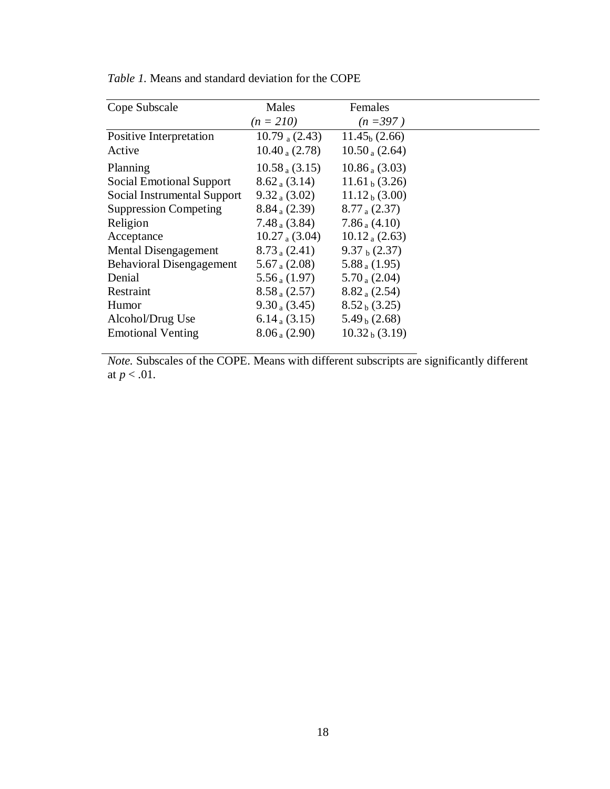| Cope Subscale                   | Males              | Females            |  |
|---------------------------------|--------------------|--------------------|--|
|                                 | $(n = 210)$        | $(n=397)$          |  |
| Positive Interpretation         | 10.79 $_a$ (2.43)  | $11.45b$ (2.66)    |  |
| Active                          | $10.40_{a} (2.78)$ | $10.50_a(2.64)$    |  |
| Planning                        | $10.58_{a}$ (3.15) | $10.86_{a}$ (3.03) |  |
| <b>Social Emotional Support</b> | $8.62_{a}$ (3.14)  | $11.61b$ (3.26)    |  |
| Social Instrumental Support     | $9.32_{a} (3.02)$  | $11.12b$ (3.00)    |  |
| <b>Suppression Competing</b>    | $8.84_{a} (2.39)$  | $8.77_{a} (2.37)$  |  |
| Religion                        | $7.48_{a} (3.84)$  | $7.86_{a}$ (4.10)  |  |
| Acceptance                      | $10.27_{a}$ (3.04) | $10.12_a(2.63)$    |  |
| <b>Mental Disengagement</b>     | $8.73_{a} (2.41)$  | $9.37b$ (2.37)     |  |
| <b>Behavioral Disengagement</b> | 5.67 $_a$ (2.08)   | $5.88_{a}$ (1.95)  |  |
| Denial                          | $5.56_{a}$ (1.97)  | $5.70_{a}$ (2.04)  |  |
| Restraint                       | $8.58_{a}$ (2.57)  | $8.82_{a} (2.54)$  |  |
| Humor                           | $9.30_a(3.45)$     | $8.52b$ (3.25)     |  |
| Alcohol/Drug Use                | 6.14 $(3.15)$      | $5.49b$ (2.68)     |  |
| <b>Emotional Venting</b>        | $8.06_{a}$ (2.90)  | $10.32b$ (3.19)    |  |

*Table 1.* Means and standard deviation for the COPE

*Note.* Subscales of the COPE. Means with different subscripts are significantly different at *p* < .01*.*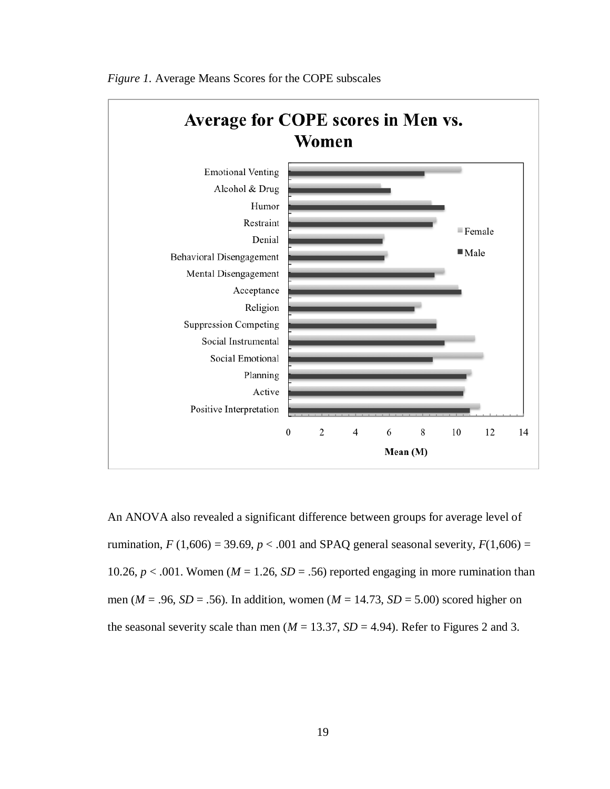

*Figure 1.* Average Means Scores for the COPE subscales

An ANOVA also revealed a significant difference between groups for average level of rumination,  $F(1,606) = 39.69$ ,  $p < .001$  and SPAQ general seasonal severity,  $F(1,606) =$ 10.26,  $p < .001$ . Women ( $M = 1.26$ ,  $SD = .56$ ) reported engaging in more rumination than men ( $M = .96$ ,  $SD = .56$ ). In addition, women ( $M = 14.73$ ,  $SD = 5.00$ ) scored higher on the seasonal severity scale than men ( $M = 13.37$ ,  $SD = 4.94$ ). Refer to Figures 2 and 3.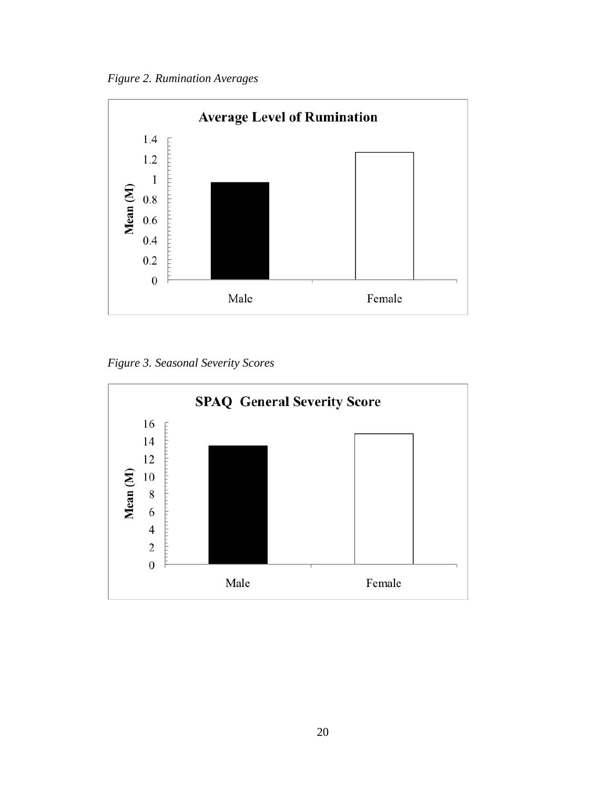*Figure 2. Rumination Averages*



*Figure 3. Seasonal Severity Scores*

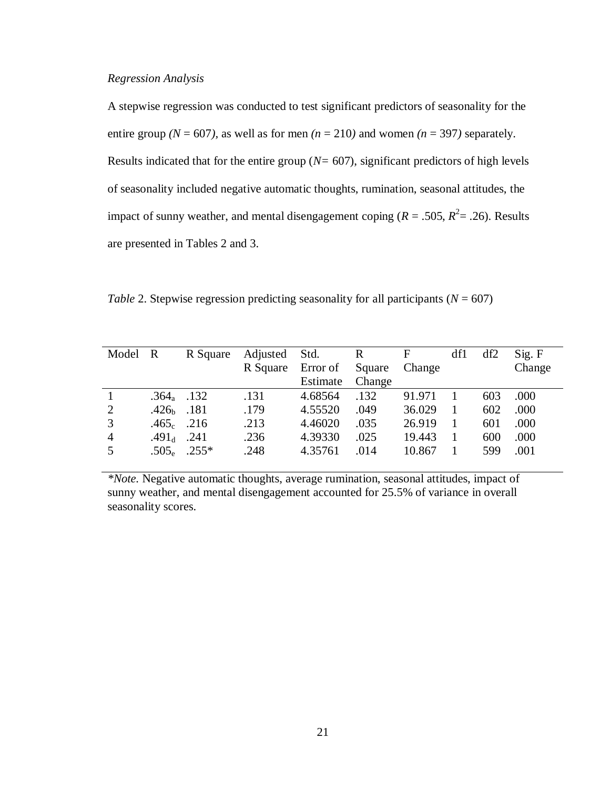#### *Regression Analysis*

A stepwise regression was conducted to test significant predictors of seasonality for the entire group  $(N = 607)$ , as well as for men  $(n = 210)$  and women  $(n = 397)$  separately. Results indicated that for the entire group (*N=* 607), significant predictors of high levels of seasonality included negative automatic thoughts, rumination, seasonal attitudes, the impact of sunny weather, and mental disengagement coping ( $R = .505$ ,  $R^2 = .26$ ). Results are presented in Tables 2 and 3.

*Table 2.* Stepwise regression predicting seasonality for all participants  $(N = 607)$ 

| Model R        |               | R Square         | Adjusted | Std.     | $\mathbf{R}$ | F      | df1 | df2 | Sig. F |
|----------------|---------------|------------------|----------|----------|--------------|--------|-----|-----|--------|
|                |               |                  | R Square | Error of | Square       | Change |     |     | Change |
|                |               |                  |          | Estimate | Change       |        |     |     |        |
|                | $.364a$ .132  |                  | .131     | 4.68564  | .132         | 91.971 |     | 603 | .000   |
| 2              | $.426b$ .181  |                  | .179     | 4.55520  | .049         | 36.029 |     | 602 | .000   |
| $\overline{3}$ | $.465_c$ .216 |                  | .213     | 4.46020  | .035         | 26.919 |     | 601 | .000   |
| $\overline{4}$ | .49 $1_d$     | .241             | .236     | 4.39330  | .025         | 19.443 |     | 600 | .000   |
| 5              |               | $.505_e$ $.255*$ | .248     | 4.35761  | .014         | 10.867 |     | 599 | .001   |

*\*Note.* Negative automatic thoughts, average rumination, seasonal attitudes, impact of sunny weather, and mental disengagement accounted for 25.5% of variance in overall seasonality scores.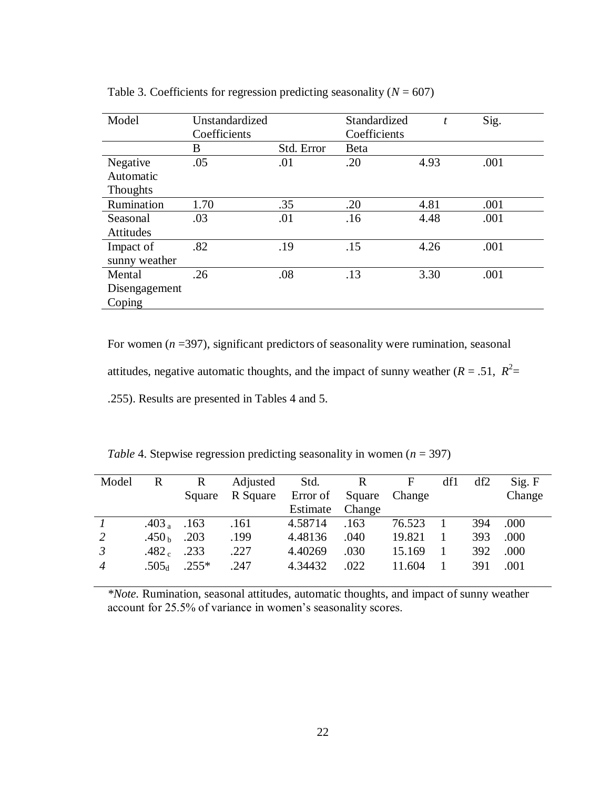| Model            | Unstandardized |            | Standardized | t    | Sig. |
|------------------|----------------|------------|--------------|------|------|
|                  | Coefficients   |            | Coefficients |      |      |
|                  | B              | Std. Error | Beta         |      |      |
| Negative         | .05            | .01        | .20          | 4.93 | .001 |
| Automatic        |                |            |              |      |      |
| <b>Thoughts</b>  |                |            |              |      |      |
| Rumination       | 1.70           | .35        | .20          | 4.81 | .001 |
| Seasonal         | .03            | .01        | .16          | 4.48 | .001 |
| <b>Attitudes</b> |                |            |              |      |      |
| Impact of        | .82            | .19        | .15          | 4.26 | .001 |
| sunny weather    |                |            |              |      |      |
| Mental           | .26            | .08        | .13          | 3.30 | .001 |
| Disengagement    |                |            |              |      |      |
| Coping           |                |            |              |      |      |

Table 3. Coefficients for regression predicting seasonality  $(N = 607)$ 

For women  $(n = 397)$ , significant predictors of seasonality were rumination, seasonal

attitudes, negative automatic thoughts, and the impact of sunny weather  $(R = .51, R^2 = )$ 

.255). Results are presented in Tables 4 and 5.

|  |  |  | Table 4. Stepwise regression predicting seasonality in women ( $n = 397$ ) |  |
|--|--|--|----------------------------------------------------------------------------|--|
|  |  |  |                                                                            |  |
|  |  |  |                                                                            |  |

| Model          | R                 | $\mathbf R$ | Adjusted | Std.     | R      | F      | df1 | df2 | Sig. F |
|----------------|-------------------|-------------|----------|----------|--------|--------|-----|-----|--------|
|                |                   | Square      | R Square | Error of | Square | Change |     |     | Change |
|                |                   |             |          | Estimate | Change |        |     |     |        |
|                | .403 $_{\rm a}$   | .163        | .161     | 4.58714  | .163   | 76.523 |     | 394 | .000   |
| 2              | .450 $\rm h$      | .203        | .199     | 4.48136  | .040   | 19.821 |     | 393 | .000   |
| $\mathfrak{Z}$ | .482 $_{\rm c}$   | .233        | .227     | 4.40269  | .030   | 15.169 |     | 392 | .000   |
| $\overline{4}$ | .505 <sub>d</sub> | $.255*$     | .247     | 4.34432  | .022   | 11.604 |     | 391 | .001   |

*\*Note.* Rumination, seasonal attitudes, automatic thoughts, and impact of sunny weather account for 25.5% of variance in women's seasonality scores.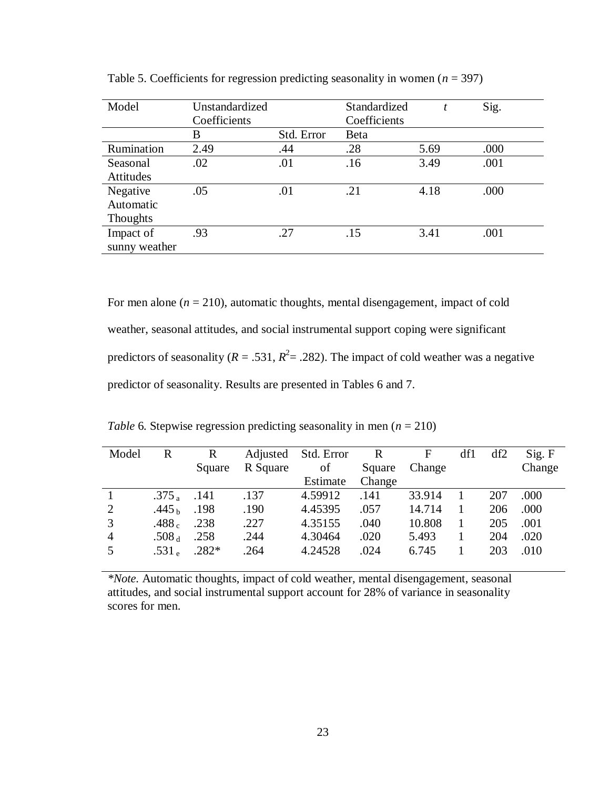| Model           | Unstandardized |            | Standardized |      | Sig. |
|-----------------|----------------|------------|--------------|------|------|
|                 | Coefficients   |            | Coefficients |      |      |
|                 | B              | Std. Error | Beta         |      |      |
| Rumination      | 2.49           | .44        | .28          | 5.69 | .000 |
| Seasonal        | .02            | .01        | .16          | 3.49 | .001 |
| Attitudes       |                |            |              |      |      |
| Negative        | .05            | .01        | .21          | 4.18 | .000 |
| Automatic       |                |            |              |      |      |
| <b>Thoughts</b> |                |            |              |      |      |
| Impact of       | .93            | .27        | .15          | 3.41 | .001 |
| sunny weather   |                |            |              |      |      |

Table 5. Coefficients for regression predicting seasonality in women  $(n = 397)$ 

For men alone  $(n = 210)$ , automatic thoughts, mental disengagement, impact of cold weather, seasonal attitudes, and social instrumental support coping were significant predictors of seasonality ( $R = .531$ ,  $R^2 = .282$ ). The impact of cold weather was a negative predictor of seasonality. Results are presented in Tables 6 and 7.

*Table 6.* Stepwise regression predicting seasonality in men ( $n = 210$ )

| Model          | R                 | R       | Adjusted | Std. Error | R      | F      | df1 | df2 | Sig. F |
|----------------|-------------------|---------|----------|------------|--------|--------|-----|-----|--------|
|                |                   | Square  | R Square | of         | Square | Change |     |     | Change |
|                |                   |         |          | Estimate   | Change |        |     |     |        |
|                | .375 <sub>a</sub> | .141    | .137     | 4.59912    | .141   | 33.914 |     | 207 | .000   |
| 2              | .445 $_{\rm h}$   | .198    | .190     | 4.45395    | .057   | 14.714 |     | 206 | .000   |
| 3              | .488 $_{\rm c}$   | .238    | .227     | 4.35155    | .040   | 10.808 |     | 205 | .001   |
| $\overline{4}$ | .508 <sub>d</sub> | .258    | .244     | 4.30464    | .020   | 5.493  |     | 204 | .020   |
| $\overline{5}$ | .531 $_{\rm e}$   | $.282*$ | .264     | 4.24528    | .024   | 6.745  |     | 203 | .010   |

*\*Note.* Automatic thoughts, impact of cold weather, mental disengagement, seasonal attitudes, and social instrumental support account for 28% of variance in seasonality scores for men.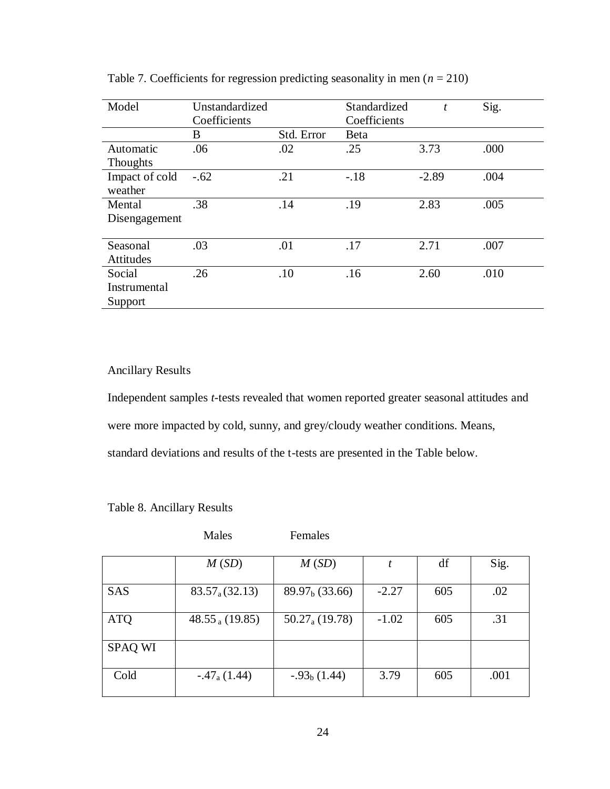| Model          | Unstandardized |            | Standardized | t       | Sig. |
|----------------|----------------|------------|--------------|---------|------|
|                | Coefficients   |            | Coefficients |         |      |
|                | B              | Std. Error | <b>B</b> eta |         |      |
| Automatic      | .06            | .02        | .25          | 3.73    | .000 |
| Thoughts       |                |            |              |         |      |
| Impact of cold | $-.62$         | .21        | $-.18$       | $-2.89$ | .004 |
| weather        |                |            |              |         |      |
| Mental         | .38            | .14        | .19          | 2.83    | .005 |
| Disengagement  |                |            |              |         |      |
|                |                |            |              |         |      |
| Seasonal       | .03            | .01        | .17          | 2.71    | .007 |
| Attitudes      |                |            |              |         |      |
| Social         | .26            | .10        | .16          | 2.60    | .010 |
| Instrumental   |                |            |              |         |      |
| Support        |                |            |              |         |      |

Table 7. Coefficients for regression predicting seasonality in men  $(n = 210)$ 

# Ancillary Results

Independent samples *t*-tests revealed that women reported greater seasonal attitudes and were more impacted by cold, sunny, and grey/cloudy weather conditions. Means, standard deviations and results of the t-tests are presented in the Table below.

|  |  | Table 8. Ancillary Results |  |
|--|--|----------------------------|--|
|--|--|----------------------------|--|

|                | Males                | Females                   |         |     |      |
|----------------|----------------------|---------------------------|---------|-----|------|
|                | M(SD)                | M(SD)                     | t       | df  | Sig. |
| <b>SAS</b>     | $83.57_{a}(32.13)$   | $89.97b$ (33.66)          | $-2.27$ | 605 | .02  |
| <b>ATQ</b>     | 48.55 $_{a}$ (19.85) | $50.27_{\text{a}}(19.78)$ | $-1.02$ | 605 | .31  |
| <b>SPAQ WI</b> |                      |                           |         |     |      |
| Cold           | $-.47a(1.44)$        | $-0.93b(1.44)$            | 3.79    | 605 | .001 |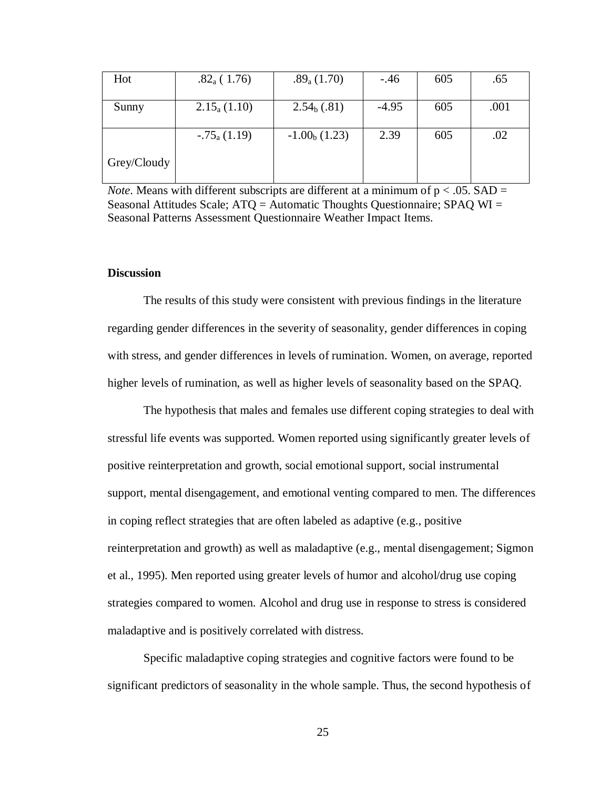| Hot         | $.82_a(1.76)$     | $.89_a(1.70)$   | $-.46$  | 605 | .65  |
|-------------|-------------------|-----------------|---------|-----|------|
| Sunny       | $2.15_{a} (1.10)$ | $2.54b$ (.81)   | $-4.95$ | 605 | .001 |
|             |                   |                 |         |     |      |
|             | $-.75_{a}$ (1.19) | $-1.00b$ (1.23) | 2.39    | 605 | .02  |
| Grey/Cloudy |                   |                 |         |     |      |

*Note*. Means with different subscripts are different at a minimum of  $p < .05$ . SAD = Seasonal Attitudes Scale; ATQ = Automatic Thoughts Questionnaire; SPAQ WI = Seasonal Patterns Assessment Questionnaire Weather Impact Items.

#### **Discussion**

The results of this study were consistent with previous findings in the literature regarding gender differences in the severity of seasonality, gender differences in coping with stress, and gender differences in levels of rumination. Women, on average, reported higher levels of rumination, as well as higher levels of seasonality based on the SPAQ.

The hypothesis that males and females use different coping strategies to deal with stressful life events was supported. Women reported using significantly greater levels of positive reinterpretation and growth, social emotional support, social instrumental support, mental disengagement, and emotional venting compared to men. The differences in coping reflect strategies that are often labeled as adaptive (e.g., positive reinterpretation and growth) as well as maladaptive (e.g., mental disengagement; Sigmon et al., 1995). Men reported using greater levels of humor and alcohol/drug use coping strategies compared to women. Alcohol and drug use in response to stress is considered maladaptive and is positively correlated with distress.

Specific maladaptive coping strategies and cognitive factors were found to be significant predictors of seasonality in the whole sample. Thus, the second hypothesis of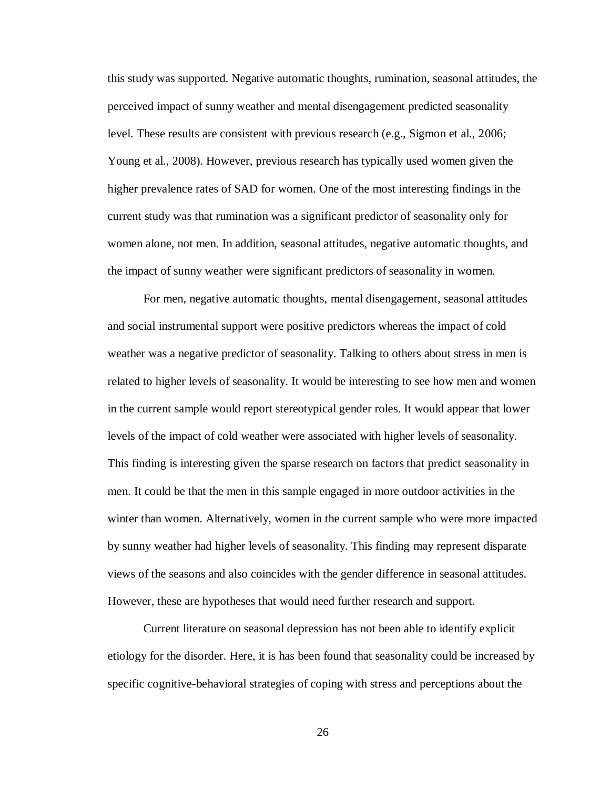this study was supported. Negative automatic thoughts, rumination, seasonal attitudes, the perceived impact of sunny weather and mental disengagement predicted seasonality level. These results are consistent with previous research (e.g., Sigmon et al., 2006; Young et al., 2008). However, previous research has typically used women given the higher prevalence rates of SAD for women. One of the most interesting findings in the current study was that rumination was a significant predictor of seasonality only for women alone, not men. In addition, seasonal attitudes, negative automatic thoughts, and the impact of sunny weather were significant predictors of seasonality in women.

For men, negative automatic thoughts, mental disengagement, seasonal attitudes and social instrumental support were positive predictors whereas the impact of cold weather was a negative predictor of seasonality. Talking to others about stress in men is related to higher levels of seasonality. It would be interesting to see how men and women in the current sample would report stereotypical gender roles. It would appear that lower levels of the impact of cold weather were associated with higher levels of seasonality. This finding is interesting given the sparse research on factors that predict seasonality in men. It could be that the men in this sample engaged in more outdoor activities in the winter than women. Alternatively, women in the current sample who were more impacted by sunny weather had higher levels of seasonality. This finding may represent disparate views of the seasons and also coincides with the gender difference in seasonal attitudes. However, these are hypotheses that would need further research and support.

Current literature on seasonal depression has not been able to identify explicit etiology for the disorder. Here, it is has been found that seasonality could be increased by specific cognitive-behavioral strategies of coping with stress and perceptions about the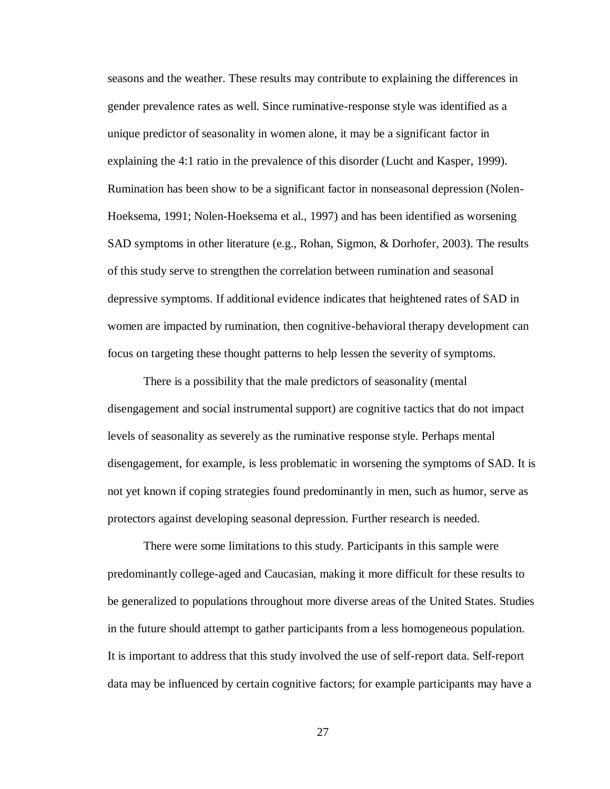seasons and the weather. These results may contribute to explaining the differences in gender prevalence rates as well. Since ruminative-response style was identified as a unique predictor of seasonality in women alone, it may be a significant factor in explaining the 4:1 ratio in the prevalence of this disorder (Lucht and Kasper, 1999). Rumination has been show to be a significant factor in nonseasonal depression (Nolen-Hoeksema, 1991; Nolen-Hoeksema et al., 1997) and has been identified as worsening SAD symptoms in other literature (e.g., Rohan, Sigmon, & Dorhofer, 2003). The results of this study serve to strengthen the correlation between rumination and seasonal depressive symptoms. If additional evidence indicates that heightened rates of SAD in women are impacted by rumination, then cognitive-behavioral therapy development can focus on targeting these thought patterns to help lessen the severity of symptoms.

There is a possibility that the male predictors of seasonality (mental disengagement and social instrumental support) are cognitive tactics that do not impact levels of seasonality as severely as the ruminative response style. Perhaps mental disengagement, for example, is less problematic in worsening the symptoms of SAD. It is not yet known if coping strategies found predominantly in men, such as humor, serve as protectors against developing seasonal depression. Further research is needed.

There were some limitations to this study. Participants in this sample were predominantly college-aged and Caucasian, making it more difficult for these results to be generalized to populations throughout more diverse areas of the United States. Studies in the future should attempt to gather participants from a less homogeneous population. It is important to address that this study involved the use of self-report data. Self-report data may be influenced by certain cognitive factors; for example participants may have a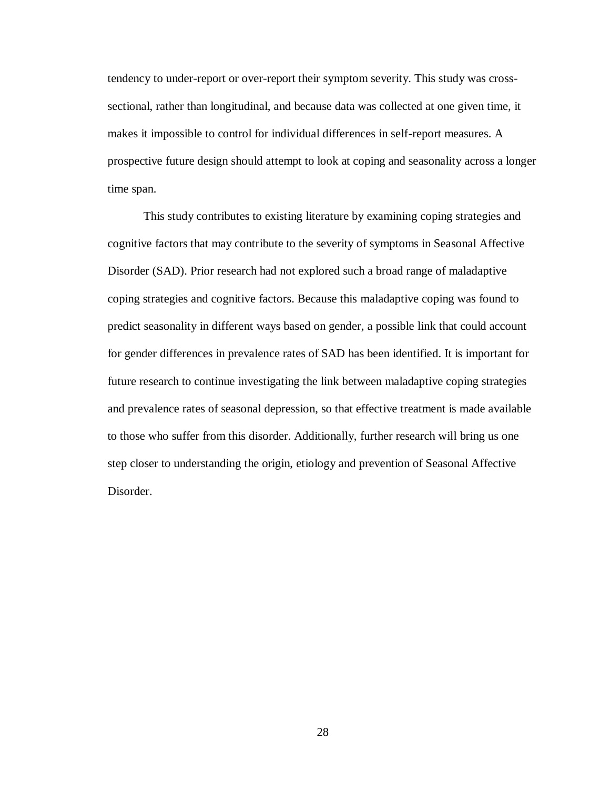tendency to under-report or over-report their symptom severity. This study was crosssectional, rather than longitudinal, and because data was collected at one given time, it makes it impossible to control for individual differences in self-report measures. A prospective future design should attempt to look at coping and seasonality across a longer time span.

This study contributes to existing literature by examining coping strategies and cognitive factors that may contribute to the severity of symptoms in Seasonal Affective Disorder (SAD). Prior research had not explored such a broad range of maladaptive coping strategies and cognitive factors. Because this maladaptive coping was found to predict seasonality in different ways based on gender, a possible link that could account for gender differences in prevalence rates of SAD has been identified. It is important for future research to continue investigating the link between maladaptive coping strategies and prevalence rates of seasonal depression, so that effective treatment is made available to those who suffer from this disorder. Additionally, further research will bring us one step closer to understanding the origin, etiology and prevention of Seasonal Affective Disorder.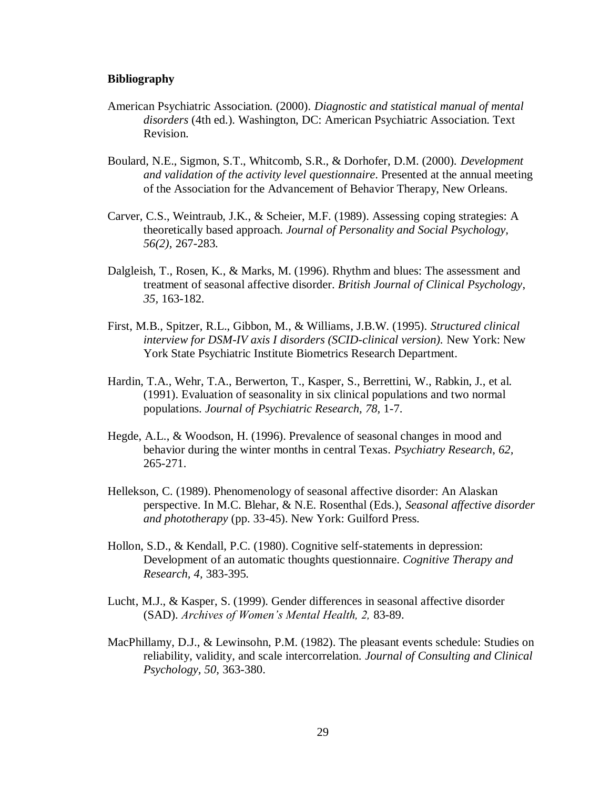#### **Bibliography**

- American Psychiatric Association. (2000). *Diagnostic and statistical manual of mental disorders* (4th ed.). Washington, DC: American Psychiatric Association. Text Revision.
- Boulard, N.E., Sigmon, S.T., Whitcomb, S.R., & Dorhofer, D.M. (2000). *Development and validation of the activity level questionnaire*. Presented at the annual meeting of the Association for the Advancement of Behavior Therapy, New Orleans.
- Carver, C.S., Weintraub, J.K., & Scheier, M.F. (1989). Assessing coping strategies: A theoretically based approach. *Journal of Personality and Social Psychology, 56(2),* 267-283.
- Dalgleish, T., Rosen, K., & Marks, M. (1996). Rhythm and blues: The assessment and treatment of seasonal affective disorder. *British Journal of Clinical Psychology*, *35,* 163-182.
- First, M.B., Spitzer, R.L., Gibbon, M., & Williams, J.B.W. (1995). *Structured clinical interview for DSM-IV axis I disorders (SCID-clinical version).* New York: New York State Psychiatric Institute Biometrics Research Department.
- Hardin, T.A., Wehr, T.A., Berwerton, T., Kasper, S., Berrettini, W., Rabkin, J., et al. (1991). Evaluation of seasonality in six clinical populations and two normal populations. *Journal of Psychiatric Research, 78,* 1-7.
- Hegde, A.L., & Woodson, H. (1996). Prevalence of seasonal changes in mood and behavior during the winter months in central Texas. *Psychiatry Research*, *62,*  265-271.
- Hellekson, C. (1989). Phenomenology of seasonal affective disorder: An Alaskan perspective. In M.C. Blehar, & N.E. Rosenthal (Eds.), *Seasonal affective disorder and phototherapy* (pp. 33-45). New York: Guilford Press.
- Hollon, S.D., & Kendall, P.C. (1980). Cognitive self-statements in depression: Development of an automatic thoughts questionnaire. *Cognitive Therapy and Research, 4,* 383-395.
- Lucht, M.J., & Kasper, S. (1999). Gender differences in seasonal affective disorder (SAD). *Archives of Women's Mental Health, 2,* 83-89.
- MacPhillamy, D.J., & Lewinsohn, P.M. (1982). The pleasant events schedule: Studies on reliability, validity, and scale intercorrelation. *Journal of Consulting and Clinical Psychology, 50,* 363-380.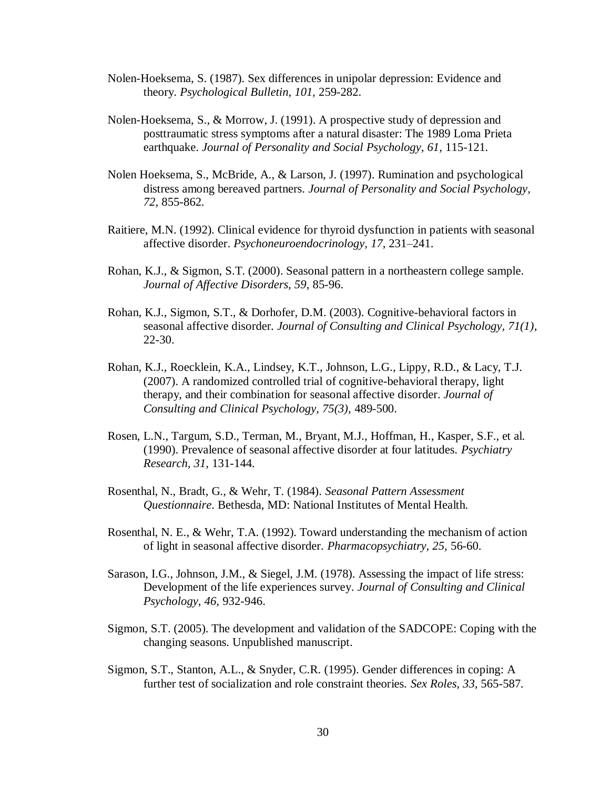- Nolen-Hoeksema, S. (1987). Sex differences in unipolar depression: Evidence and theory. *Psychological Bulletin, 101,* 259-282.
- Nolen-Hoeksema, S., & Morrow, J. (1991). A prospective study of depression and posttraumatic stress symptoms after a natural disaster: The 1989 Loma Prieta earthquake. *Journal of Personality and Social Psychology, 61,* 115-121.
- Nolen Hoeksema, S., McBride, A., & Larson, J. (1997). Rumination and psychological distress among bereaved partners. *Journal of Personality and Social Psychology, 72,* 855-862.
- Raitiere, M.N. (1992). Clinical evidence for thyroid dysfunction in patients with seasonal affective disorder. *Psychoneuroendocrinology*, *17*, 231–241.
- Rohan, K.J., & Sigmon, S.T. (2000). Seasonal pattern in a northeastern college sample. *Journal of Affective Disorders, 59*, 85-96.
- Rohan, K.J., Sigmon, S.T., & Dorhofer, D.M. (2003). Cognitive-behavioral factors in seasonal affective disorder. *Journal of Consulting and Clinical Psychology, 71(1)*, 22-30.
- Rohan, K.J., Roecklein, K.A., Lindsey, K.T., Johnson, L.G., Lippy, R.D., & Lacy, T.J. (2007). A randomized controlled trial of cognitive-behavioral therapy, light therapy, and their combination for seasonal affective disorder. *Journal of Consulting and Clinical Psychology, 75(3),* 489-500.
- Rosen, L.N., Targum, S.D., Terman, M., Bryant, M.J., Hoffman, H., Kasper, S.F., et al. (1990). Prevalence of seasonal affective disorder at four latitudes. *Psychiatry Research, 31,* 131-144.
- Rosenthal, N., Bradt, G., & Wehr, T. (1984). *Seasonal Pattern Assessment Questionnaire*. Bethesda, MD: National Institutes of Mental Health.
- Rosenthal, N. E., & Wehr, T.A. (1992). Toward understanding the mechanism of action of light in seasonal affective disorder. *Pharmacopsychiatry, 25,* 56-60.
- Sarason, I.G., Johnson, J.M., & Siegel, J.M. (1978). Assessing the impact of life stress: Development of the life experiences survey. *Journal of Consulting and Clinical Psychology, 46,* 932-946.
- Sigmon, S.T. (2005). The development and validation of the SADCOPE: Coping with the changing seasons. Unpublished manuscript.
- Sigmon, S.T., Stanton, A.L., & Snyder, C.R. (1995). Gender differences in coping: A further test of socialization and role constraint theories. *Sex Roles, 33,* 565-587.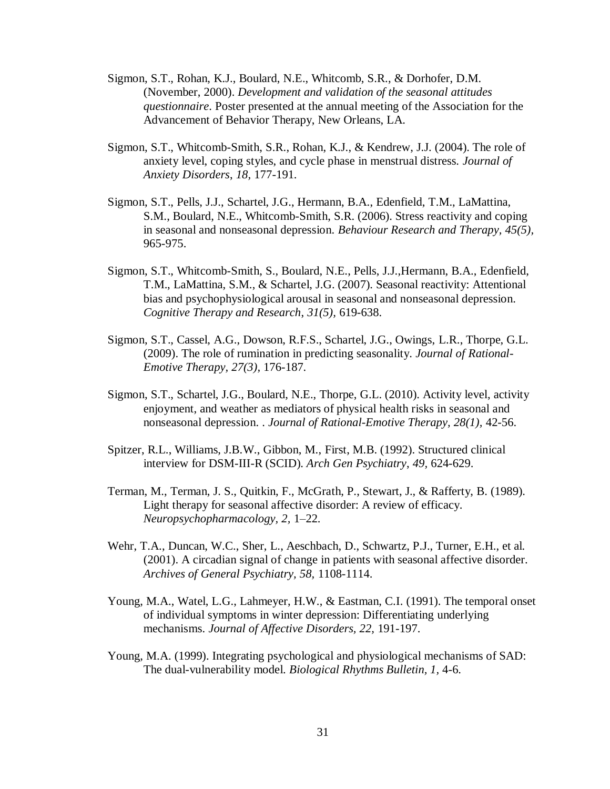- Sigmon, S.T., Rohan, K.J., Boulard, N.E., Whitcomb, S.R., & Dorhofer, D.M. (November, 2000). *Development and validation of the seasonal attitudes questionnaire*. Poster presented at the annual meeting of the Association for the Advancement of Behavior Therapy, New Orleans, LA.
- Sigmon, S.T., Whitcomb-Smith, S.R., Rohan, K.J., & Kendrew, J.J. (2004). The role of anxiety level, coping styles, and cycle phase in menstrual distress. *Journal of Anxiety Disorders*, *18,* 177-191.
- Sigmon, S.T., Pells, J.J., Schartel, J.G., Hermann, B.A., Edenfield, T.M., LaMattina, S.M., Boulard, N.E., Whitcomb-Smith, S.R. (2006). Stress reactivity and coping in seasonal and nonseasonal depression. *Behaviour Research and Therapy, 45(5),*  965-975.
- Sigmon, S.T., Whitcomb-Smith, S., Boulard, N.E., Pells, J.J.,Hermann, B.A., Edenfield, T.M., LaMattina, S.M., & Schartel, J.G. (2007). Seasonal reactivity: Attentional bias and psychophysiological arousal in seasonal and nonseasonal depression. *Cognitive Therapy and Research*, *31(5),* 619-638.
- Sigmon, S.T., Cassel, A.G., Dowson, R.F.S., Schartel, J.G., Owings, L.R., Thorpe, G.L. (2009). The role of rumination in predicting seasonality. *Journal of Rational-Emotive Therapy, 27(3),* 176-187.
- Sigmon, S.T., Schartel, J.G., Boulard, N.E., Thorpe, G.L. (2010). Activity level, activity enjoyment, and weather as mediators of physical health risks in seasonal and nonseasonal depression. . *Journal of Rational-Emotive Therapy, 28(1),* 42-56.
- Spitzer, R.L., Williams, J.B.W., Gibbon, M., First, M.B. (1992). Structured clinical interview for DSM-III-R (SCID). *Arch Gen Psychiatry*, *49,* 624-629.
- Terman, M., Terman, J. S., Quitkin, F., McGrath, P., Stewart, J., & Rafferty, B. (1989). Light therapy for seasonal affective disorder: A review of efficacy. *Neuropsychopharmacology, 2,* 1–22.
- Wehr, T.A., Duncan, W.C., Sher, L., Aeschbach, D., Schwartz, P.J., Turner, E.H., et al. (2001). A circadian signal of change in patients with seasonal affective disorder. *Archives of General Psychiatry, 58,* 1108-1114.
- Young, M.A., Watel, L.G., Lahmeyer, H.W., & Eastman, C.I. (1991). The temporal onset of individual symptoms in winter depression: Differentiating underlying mechanisms. *Journal of Affective Disorders, 22,* 191-197.
- Young, M.A. (1999). Integrating psychological and physiological mechanisms of SAD: The dual-vulnerability model. *Biological Rhythms Bulletin, 1,* 4-6.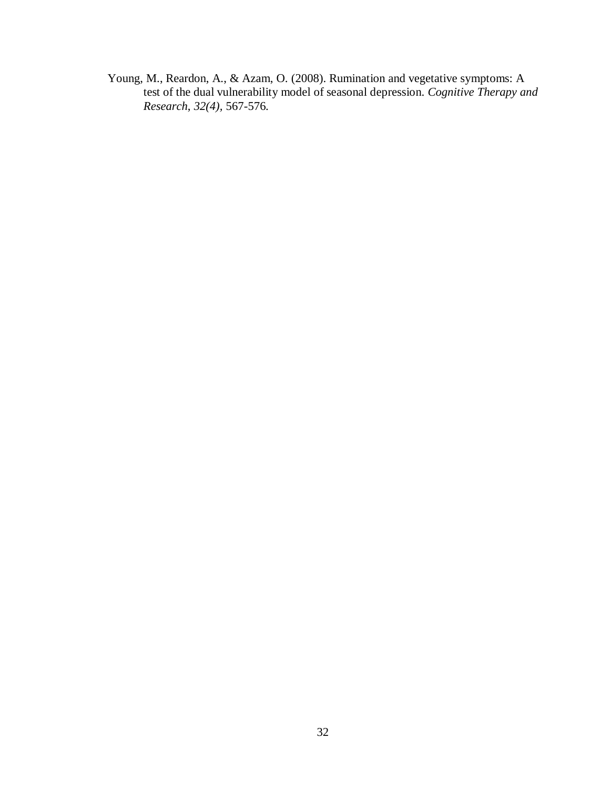Young, M., Reardon, A., & Azam, O. (2008). Rumination and vegetative symptoms: A test of the dual vulnerability model of seasonal depression. *Cognitive Therapy and Research*, *32(4),* 567-576.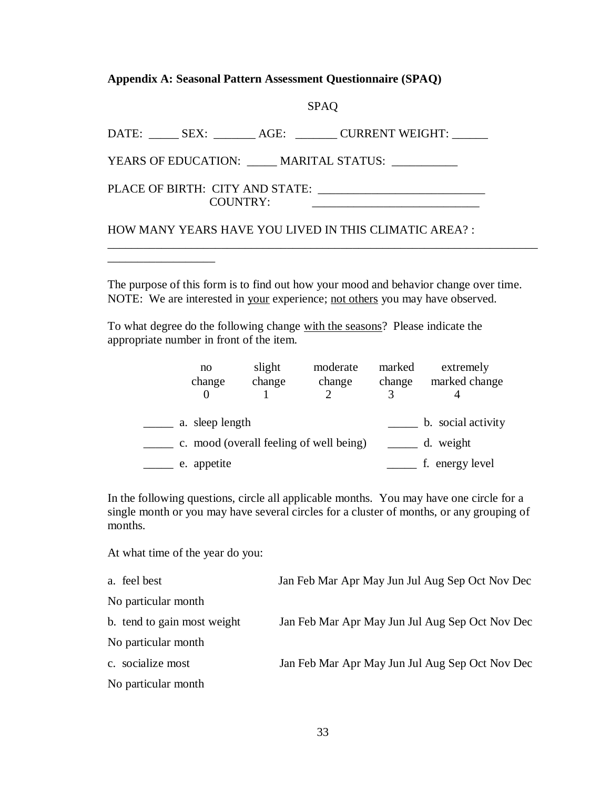**Appendix A: Seasonal Pattern Assessment Questionnaire (SPAQ)**

## SPAQ

DATE: \_\_\_\_\_\_ SEX: \_\_\_\_\_\_\_ AGE: \_\_\_\_\_\_\_ CURRENT WEIGHT: \_\_\_\_\_\_

YEARS OF EDUCATION: \_\_\_\_\_ MARITAL STATUS: \_\_\_\_\_\_\_\_\_\_

PLACE OF BIRTH: CITY AND STATE: \_\_\_\_\_\_\_\_\_\_\_\_\_\_\_\_\_\_\_\_\_\_\_\_\_\_\_\_ COUNTRY: \_\_\_\_\_\_\_\_\_\_\_\_\_\_\_\_\_\_\_\_\_\_\_\_\_\_\_\_

\_\_\_\_\_\_\_\_\_\_\_\_\_\_\_\_\_\_

HOW MANY YEARS HAVE YOU LIVED IN THIS CLIMATIC AREA? :

The purpose of this form is to find out how your mood and behavior change over time. NOTE: We are interested in your experience; not others you may have observed.

\_\_\_\_\_\_\_\_\_\_\_\_\_\_\_\_\_\_\_\_\_\_\_\_\_\_\_\_\_\_\_\_\_\_\_\_\_\_\_\_\_\_\_\_\_\_\_\_\_\_\_\_\_\_\_\_\_\_\_\_\_\_\_\_\_\_\_\_\_\_\_\_

To what degree do the following change with the seasons? Please indicate the appropriate number in front of the item.

| no                                      | slight | moderate | marked | extremely          |
|-----------------------------------------|--------|----------|--------|--------------------|
| change                                  | change | change   | change | marked change      |
|                                         |        |          |        |                    |
|                                         |        |          |        |                    |
| a. sleep length                         |        |          |        | b. social activity |
| c. mood (overall feeling of well being) |        |          |        | d. weight          |
| e. appetite                             |        |          |        | f. energy level    |

In the following questions, circle all applicable months. You may have one circle for a single month or you may have several circles for a cluster of months, or any grouping of months.

At what time of the year do you:

| a. feel best                | Jan Feb Mar Apr May Jun Jul Aug Sep Oct Nov Dec |
|-----------------------------|-------------------------------------------------|
| No particular month         |                                                 |
| b. tend to gain most weight | Jan Feb Mar Apr May Jun Jul Aug Sep Oct Nov Dec |
| No particular month         |                                                 |
| c. socialize most           | Jan Feb Mar Apr May Jun Jul Aug Sep Oct Nov Dec |
| No particular month         |                                                 |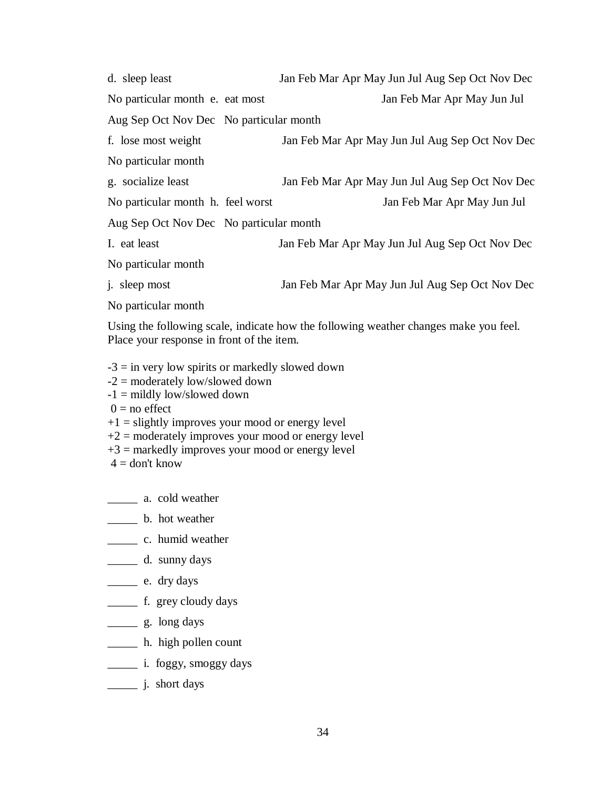| d. sleep least                          | Jan Feb Mar Apr May Jun Jul Aug Sep Oct Nov Dec |
|-----------------------------------------|-------------------------------------------------|
| No particular month e. eat most         | Jan Feb Mar Apr May Jun Jul                     |
| Aug Sep Oct Nov Dec No particular month |                                                 |
| f. lose most weight                     | Jan Feb Mar Apr May Jun Jul Aug Sep Oct Nov Dec |
| No particular month                     |                                                 |
| g. socialize least                      | Jan Feb Mar Apr May Jun Jul Aug Sep Oct Nov Dec |
| No particular month h. feel worst       | Jan Feb Mar Apr May Jun Jul                     |
| Aug Sep Oct Nov Dec No particular month |                                                 |
| I. eat least                            | Jan Feb Mar Apr May Jun Jul Aug Sep Oct Nov Dec |
| No particular month                     |                                                 |
| <i>i</i> . sleep most                   | Jan Feb Mar Apr May Jun Jul Aug Sep Oct Nov Dec |
| No particular month                     |                                                 |

Using the following scale, indicate how the following weather changes make you feel. Place your response in front of the item.

- $-3$  = in very low spirits or markedly slowed down
- -2 = moderately low/slowed down
- -1 = mildly low/slowed down
- $0 =$  no effect
- $+1$  = slightly improves your mood or energy level
- $+2$  = moderately improves your mood or energy level
- $+3$  = markedly improves your mood or energy level
- $4 =$ don't know
- \_\_\_\_\_ a. cold weather
- \_\_\_\_\_ b. hot weather
- \_\_\_\_\_ c. humid weather
- \_\_\_\_\_ d. sunny days
- \_\_\_\_\_ e. dry days
- \_\_\_\_\_\_\_ f. grey cloudy days
- \_\_\_\_\_ g. long days
- \_\_\_\_\_ h. high pollen count
- \_\_\_\_\_ i. foggy, smoggy days
- \_\_\_\_\_ j. short days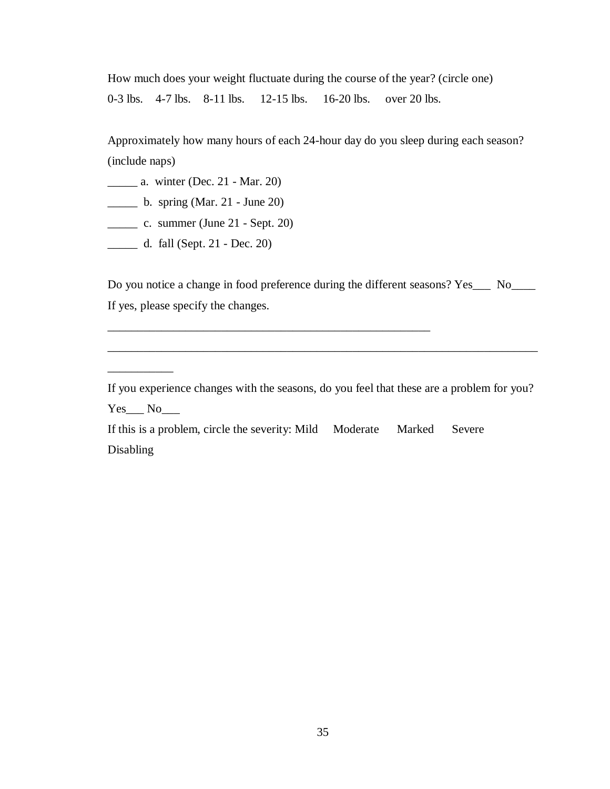How much does your weight fluctuate during the course of the year? (circle one) 0-3 lbs. 4-7 lbs. 8-11 lbs. 12-15 lbs. 16-20 lbs. over 20 lbs.

Approximately how many hours of each 24-hour day do you sleep during each season? (include naps)

\_\_\_\_\_ a. winter (Dec. 21 - Mar. 20)

 $\frac{1}{2}$  b. spring (Mar. 21 - June 20)

 $\frac{1}{2}$  c. summer (June 21 - Sept. 20)

\_\_\_\_\_ d. fall (Sept. 21 - Dec. 20)

Do you notice a change in food preference during the different seasons? Yes\_\_\_ No\_\_\_\_ If yes, please specify the changes.

\_\_\_\_\_\_\_\_\_\_\_\_\_\_\_\_\_\_\_\_\_\_\_\_\_\_\_\_\_\_\_\_\_\_\_\_\_\_\_\_\_\_\_\_\_\_\_\_\_\_\_\_\_\_\_\_\_\_\_\_\_\_\_\_\_\_\_\_\_\_\_\_

 $\overline{\phantom{a}}$ 

If you experience changes with the seasons, do you feel that these are a problem for you?  $Yes$  No\_\_\_\_\_\_

If this is a problem, circle the severity: Mild Moderate Marked Severe Disabling

\_\_\_\_\_\_\_\_\_\_\_\_\_\_\_\_\_\_\_\_\_\_\_\_\_\_\_\_\_\_\_\_\_\_\_\_\_\_\_\_\_\_\_\_\_\_\_\_\_\_\_\_\_\_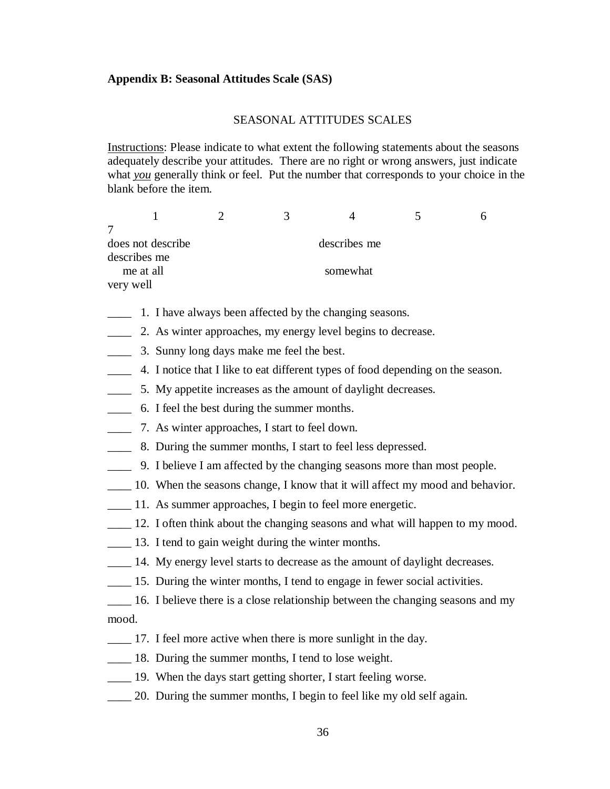## **Appendix B: Seasonal Attitudes Scale (SAS)**

## SEASONAL ATTITUDES SCALES

Instructions: Please indicate to what extent the following statements about the seasons adequately describe your attitudes. There are no right or wrong answers, just indicate what *you* generally think or feel. Put the number that corresponds to your choice in the blank before the item.

|                   |          | 3 |              |  |  |  |
|-------------------|----------|---|--------------|--|--|--|
|                   |          |   |              |  |  |  |
| does not describe |          |   | describes me |  |  |  |
| describes me      |          |   |              |  |  |  |
| me at all         | somewhat |   |              |  |  |  |
| very well         |          |   |              |  |  |  |

\_\_\_\_ 1. I have always been affected by the changing seasons.

\_\_\_\_ 2. As winter approaches, my energy level begins to decrease.

\_\_\_\_ 3. Sunny long days make me feel the best.

\_\_\_\_ 4. I notice that I like to eat different types of food depending on the season.

\_\_\_\_ 5. My appetite increases as the amount of daylight decreases.

- \_\_\_\_ 6. I feel the best during the summer months.
- \_\_\_\_ 7. As winter approaches, I start to feel down.
- \_\_\_\_ 8. During the summer months, I start to feel less depressed.
- \_\_\_\_ 9. I believe I am affected by the changing seasons more than most people.
- \_\_\_\_ 10. When the seasons change, I know that it will affect my mood and behavior.
- \_\_\_\_ 11. As summer approaches, I begin to feel more energetic.
- \_\_\_\_ 12. I often think about the changing seasons and what will happen to my mood.
- \_\_\_\_ 13. I tend to gain weight during the winter months.
- \_\_\_\_ 14. My energy level starts to decrease as the amount of daylight decreases.
- \_\_\_\_ 15. During the winter months, I tend to engage in fewer social activities.
- \_\_\_\_ 16. I believe there is a close relationship between the changing seasons and my mood.
- \_\_\_\_ 17. I feel more active when there is more sunlight in the day.
- \_\_\_\_ 18. During the summer months, I tend to lose weight.
- \_\_\_\_ 19. When the days start getting shorter, I start feeling worse.
- \_\_\_\_ 20. During the summer months, I begin to feel like my old self again.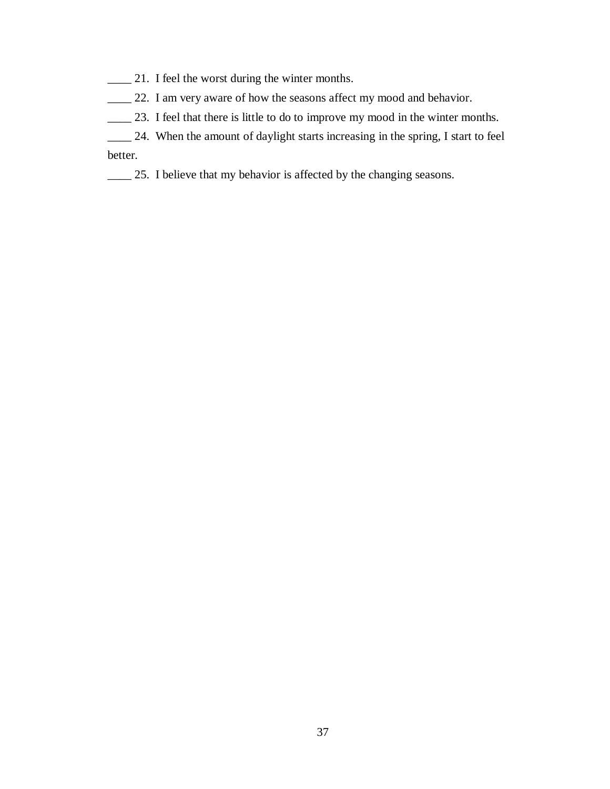- \_\_\_\_ 21. I feel the worst during the winter months.
- \_\_\_\_ 22. I am very aware of how the seasons affect my mood and behavior.
- \_\_\_\_ 23. I feel that there is little to do to improve my mood in the winter months.
- \_\_\_\_ 24. When the amount of daylight starts increasing in the spring, I start to feel better.
- \_\_\_\_ 25. I believe that my behavior is affected by the changing seasons.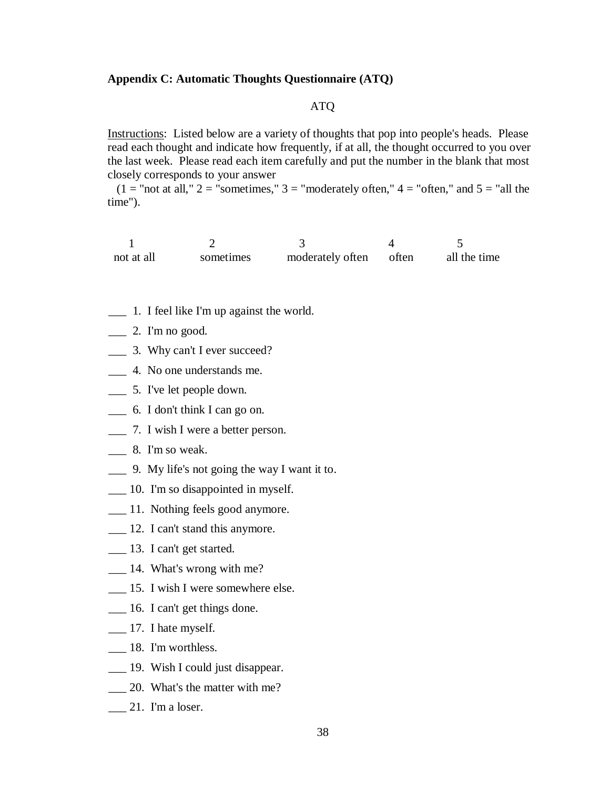#### **Appendix C: Automatic Thoughts Questionnaire (ATQ)**

# ATQ

Instructions: Listed below are a variety of thoughts that pop into people's heads. Please read each thought and indicate how frequently, if at all, the thought occurred to you over the last week. Please read each item carefully and put the number in the blank that most closely corresponds to your answer

 $(1 = "not at all," 2 = "sometimes," 3 = "moderately often," 4 = "often," and 5 = "all the"$ time").

| not at all | sometimes | moderately often often | all the time |
|------------|-----------|------------------------|--------------|

- \_\_\_ 1. I feel like I'm up against the world.
- $\_\_$  2. I'm no good.
- \_\_\_ 3. Why can't I ever succeed?
- \_\_\_ 4. No one understands me.
- \_\_\_ 5. I've let people down.
- \_\_\_ 6. I don't think I can go on.
- \_\_\_ 7. I wish I were a better person.
- \_\_\_ 8. I'm so weak.
- \_\_\_ 9. My life's not going the way I want it to.
- \_\_\_ 10. I'm so disappointed in myself.
- \_\_\_ 11. Nothing feels good anymore.
- \_\_\_ 12. I can't stand this anymore.
- \_\_\_ 13. I can't get started.
- $\frac{1}{4}$ . What's wrong with me?
- \_\_\_ 15. I wish I were somewhere else.
- \_\_\_ 16. I can't get things done.
- <u>\_\_\_</u> 17. I hate myself.
- \_\_\_ 18. I'm worthless.
- \_\_\_ 19. Wish I could just disappear.
- \_\_\_ 20. What's the matter with me?
- $\frac{21}{\pi}$  21. I'm a loser.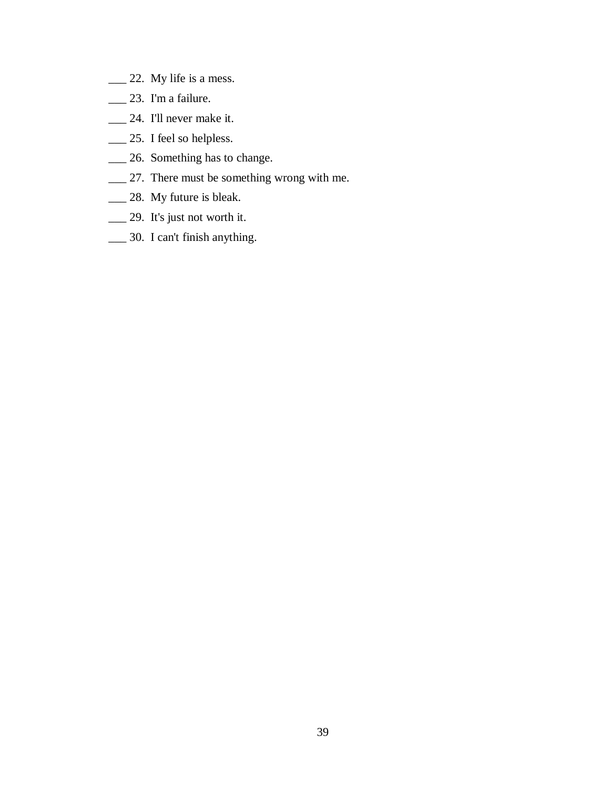- \_\_\_ 22. My life is a mess.
- \_\_\_ 23. I'm a failure.
- \_\_\_ 24. I'll never make it.
- \_\_\_ 25. I feel so helpless.
- \_\_\_ 26. Something has to change.
- \_\_\_ 27. There must be something wrong with me.
- \_\_\_ 28. My future is bleak.
- \_\_\_ 29. It's just not worth it.
- \_\_\_ 30. I can't finish anything.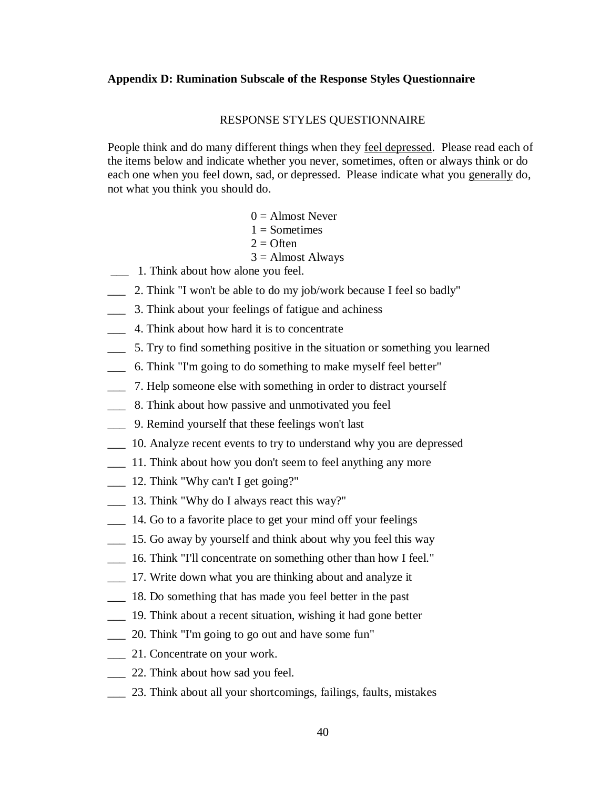# **Appendix D: Rumination Subscale of the Response Styles Questionnaire**

#### RESPONSE STYLES QUESTIONNAIRE

People think and do many different things when they feel depressed. Please read each of the items below and indicate whether you never, sometimes, often or always think or do each one when you feel down, sad, or depressed. Please indicate what you generally do, not what you think you should do.

- $0 =$  Almost Never
- $1 =$ Sometimes
- $2 =$  Often
- $3 =$  Almost Always
- \_\_\_ 1. Think about how alone you feel.
- \_\_\_ 2. Think "I won't be able to do my job/work because I feel so badly"
- \_\_\_ 3. Think about your feelings of fatigue and achiness
- \_\_\_ 4. Think about how hard it is to concentrate
- \_\_\_ 5. Try to find something positive in the situation or something you learned
- \_\_\_ 6. Think "I'm going to do something to make myself feel better"
- \_\_\_ 7. Help someone else with something in order to distract yourself
- \_\_\_ 8. Think about how passive and unmotivated you feel
- \_\_\_ 9. Remind yourself that these feelings won't last
- \_\_\_ 10. Analyze recent events to try to understand why you are depressed
- \_\_\_ 11. Think about how you don't seem to feel anything any more
- \_\_\_ 12. Think "Why can't I get going?"
- \_\_\_ 13. Think "Why do I always react this way?"
- \_\_\_ 14. Go to a favorite place to get your mind off your feelings
- \_\_\_ 15. Go away by yourself and think about why you feel this way
- \_\_\_ 16. Think "I'll concentrate on something other than how I feel."
- \_\_\_ 17. Write down what you are thinking about and analyze it
- \_\_\_ 18. Do something that has made you feel better in the past
- \_\_\_ 19. Think about a recent situation, wishing it had gone better
- \_\_\_ 20. Think "I'm going to go out and have some fun"
- \_\_\_ 21. Concentrate on your work.
- \_\_\_ 22. Think about how sad you feel.
- \_\_\_ 23. Think about all your shortcomings, failings, faults, mistakes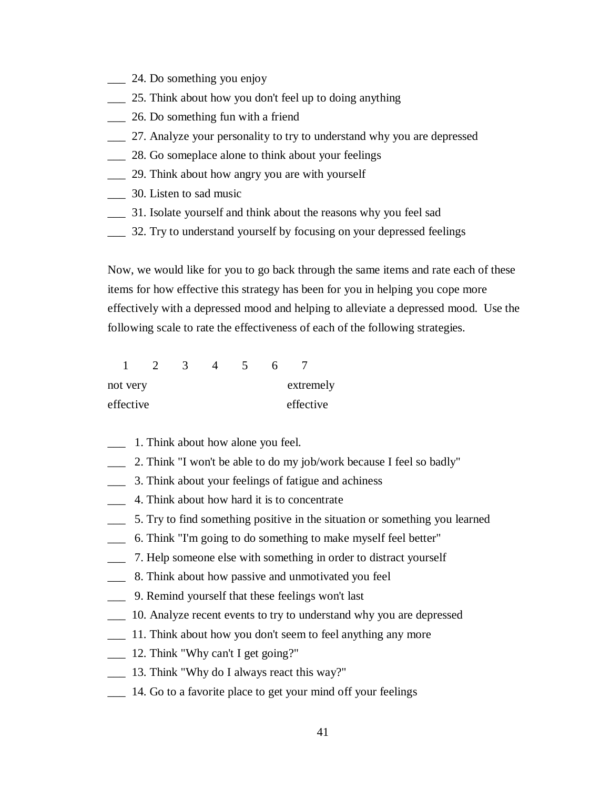- $\frac{1}{24}$ . Do something you enjoy
- \_\_\_ 25. Think about how you don't feel up to doing anything
- \_\_\_ 26. Do something fun with a friend
- \_\_\_ 27. Analyze your personality to try to understand why you are depressed
- 28. Go someplace alone to think about your feelings
- \_\_\_ 29. Think about how angry you are with yourself
- \_\_\_ 30. Listen to sad music
- \_\_\_ 31. Isolate yourself and think about the reasons why you feel sad
- \_\_\_ 32. Try to understand yourself by focusing on your depressed feelings

Now, we would like for you to go back through the same items and rate each of these items for how effective this strategy has been for you in helping you cope more effectively with a depressed mood and helping to alleviate a depressed mood. Use the following scale to rate the effectiveness of each of the following strategies.

| not very  |  |  | extremely |  |
|-----------|--|--|-----------|--|
| effective |  |  | effective |  |

- \_\_\_ 1. Think about how alone you feel.
- \_\_\_ 2. Think "I won't be able to do my job/work because I feel so badly"
- \_\_\_ 3. Think about your feelings of fatigue and achiness
- \_\_\_ 4. Think about how hard it is to concentrate
- \_\_\_ 5. Try to find something positive in the situation or something you learned
- \_\_\_ 6. Think "I'm going to do something to make myself feel better"
- \_\_\_ 7. Help someone else with something in order to distract yourself
- \_\_\_ 8. Think about how passive and unmotivated you feel
- \_\_\_ 9. Remind yourself that these feelings won't last
- \_\_\_ 10. Analyze recent events to try to understand why you are depressed
- \_\_\_ 11. Think about how you don't seem to feel anything any more
- $\frac{12. \text{Think}}{W$ hy can't I get going?"
- \_\_\_ 13. Think "Why do I always react this way?"
- 14. Go to a favorite place to get your mind off your feelings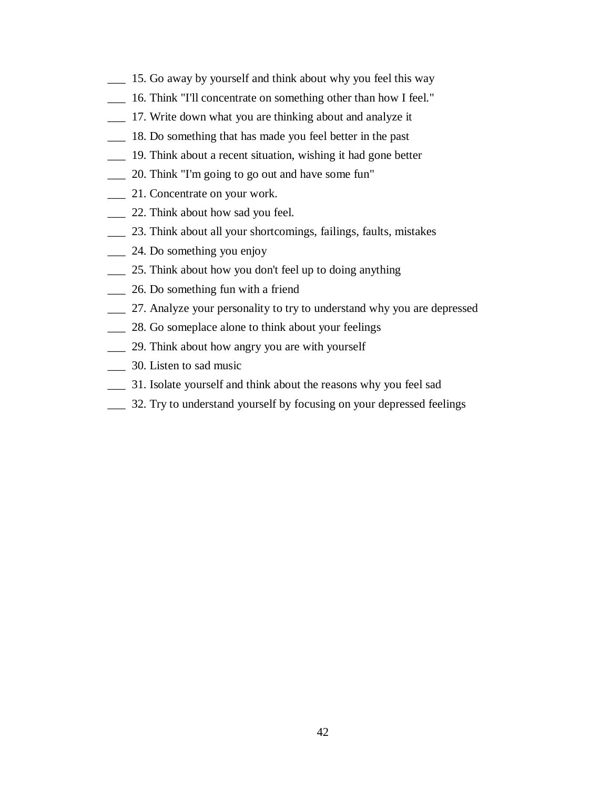- \_\_\_ 15. Go away by yourself and think about why you feel this way
- \_\_\_ 16. Think "I'll concentrate on something other than how I feel."
- \_\_\_ 17. Write down what you are thinking about and analyze it
- \_\_\_ 18. Do something that has made you feel better in the past
- \_\_\_ 19. Think about a recent situation, wishing it had gone better
- \_\_\_ 20. Think "I'm going to go out and have some fun"
- \_\_\_ 21. Concentrate on your work.
- \_\_\_ 22. Think about how sad you feel.
- \_\_\_ 23. Think about all your shortcomings, failings, faults, mistakes
- \_\_\_ 24. Do something you enjoy
- \_\_\_ 25. Think about how you don't feel up to doing anything
- \_\_\_ 26. Do something fun with a friend
- \_\_\_ 27. Analyze your personality to try to understand why you are depressed
- 28. Go someplace alone to think about your feelings
- \_\_\_ 29. Think about how angry you are with yourself
- \_\_\_ 30. Listen to sad music
- \_\_\_ 31. Isolate yourself and think about the reasons why you feel sad
- \_\_\_ 32. Try to understand yourself by focusing on your depressed feelings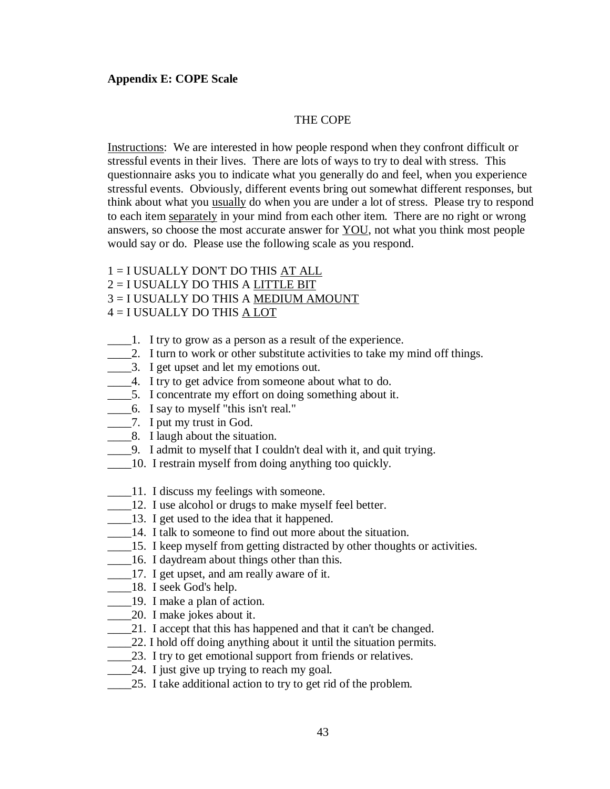# **Appendix E: COPE Scale**

# THE COPE

Instructions: We are interested in how people respond when they confront difficult or stressful events in their lives. There are lots of ways to try to deal with stress. This questionnaire asks you to indicate what you generally do and feel, when you experience stressful events. Obviously, different events bring out somewhat different responses, but think about what you usually do when you are under a lot of stress. Please try to respond to each item separately in your mind from each other item. There are no right or wrong answers, so choose the most accurate answer for **YOU**, not what you think most people would say or do. Please use the following scale as you respond.

- 1 = I USUALLY DON'T DO THIS AT ALL
- 2 = I USUALLY DO THIS A LITTLE BIT
- 3 = I USUALLY DO THIS A MEDIUM AMOUNT
- 4 = I USUALLY DO THIS A LOT
- \_\_\_\_1. I try to grow as a person as a result of the experience.
- 2. I turn to work or other substitute activities to take my mind off things.
- \_\_\_\_3. I get upset and let my emotions out.
- \_\_\_\_4. I try to get advice from someone about what to do.
- \_\_\_\_5. I concentrate my effort on doing something about it.
- \_\_\_\_6. I say to myself "this isn't real."
- \_\_\_\_7. I put my trust in God.
- **EXECUSE:** 8. I laugh about the situation.
- \_\_\_\_9. I admit to myself that I couldn't deal with it, and quit trying.
- \_\_\_\_10. I restrain myself from doing anything too quickly.
- \_\_\_\_11. I discuss my feelings with someone.
- \_\_\_\_12. I use alcohol or drugs to make myself feel better.
- \_\_\_\_13. I get used to the idea that it happened.
- 14. I talk to someone to find out more about the situation.
- \_\_\_\_15. I keep myself from getting distracted by other thoughts or activities.
- 16. I daydream about things other than this.
- \_\_\_\_17. I get upset, and am really aware of it.
- \_\_\_\_18. I seek God's help.
- \_\_\_\_19. I make a plan of action.
- \_\_\_\_20. I make jokes about it.
- \_\_\_\_21. I accept that this has happened and that it can't be changed.
- \_\_\_\_22. I hold off doing anything about it until the situation permits.
- 23. I try to get emotional support from friends or relatives.
- \_\_\_\_24. I just give up trying to reach my goal.
- 25. I take additional action to try to get rid of the problem.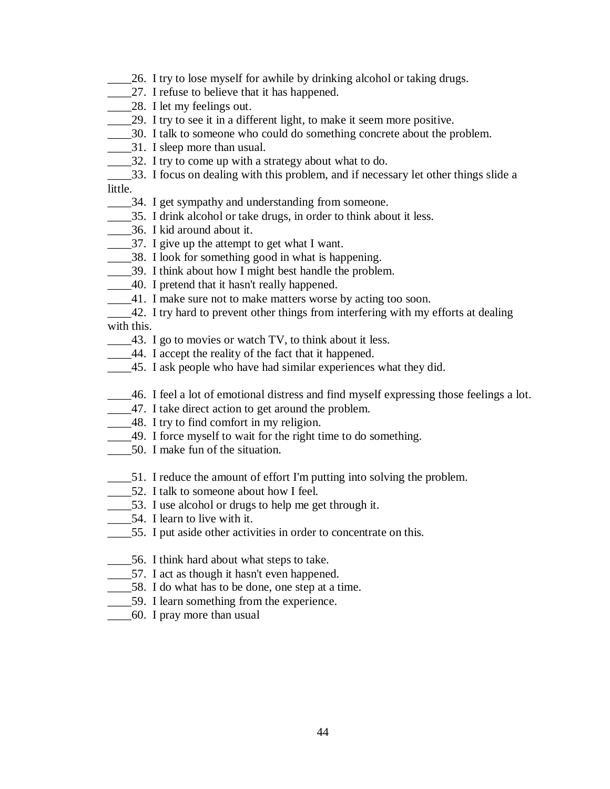- \_\_\_\_26. I try to lose myself for awhile by drinking alcohol or taking drugs.
- 27. I refuse to believe that it has happened.
- 28. I let my feelings out.
- 29. I try to see it in a different light, to make it seem more positive.
- \_\_\_\_30. I talk to someone who could do something concrete about the problem.
- \_\_\_\_31. I sleep more than usual.
- \_\_\_\_32. I try to come up with a strategy about what to do.
- \_\_\_\_33. I focus on dealing with this problem, and if necessary let other things slide a little.
- \_\_\_\_34. I get sympathy and understanding from someone.
- \_\_\_\_35. I drink alcohol or take drugs, in order to think about it less.
- \_\_\_\_36. I kid around about it.
- \_\_\_\_37. I give up the attempt to get what I want.
- \_\_\_\_38. I look for something good in what is happening.
- \_\_\_\_39. I think about how I might best handle the problem.
- \_\_\_\_40. I pretend that it hasn't really happened.
- \_\_\_\_41. I make sure not to make matters worse by acting too soon.
- 12. I try hard to prevent other things from interfering with my efforts at dealing with this.
- \_\_\_\_43. I go to movies or watch TV, to think about it less.
- \_\_\_\_44. I accept the reality of the fact that it happened.
- \_\_\_\_45. I ask people who have had similar experiences what they did.
- \_\_\_\_46. I feel a lot of emotional distress and find myself expressing those feelings a lot.
- \_\_\_\_47. I take direct action to get around the problem.
- \_\_\_\_48. I try to find comfort in my religion.
- \_\_\_\_49. I force myself to wait for the right time to do something.
- \_\_\_\_50. I make fun of the situation.
- \_\_\_\_51. I reduce the amount of effort I'm putting into solving the problem.
- \_\_\_\_52. I talk to someone about how I feel.
- \_\_\_\_53. I use alcohol or drugs to help me get through it.
- \_\_\_\_54. I learn to live with it.
- \_\_\_\_55. I put aside other activities in order to concentrate on this.
- \_\_\_\_56. I think hard about what steps to take.
- \_\_\_\_57. I act as though it hasn't even happened.
- \_\_\_\_58. I do what has to be done, one step at a time.
- \_\_\_\_59. I learn something from the experience.
- \_\_\_\_60. I pray more than usual